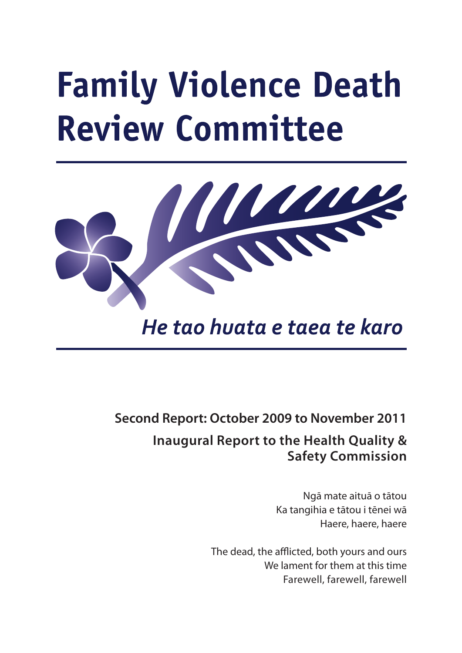# **Family Violence Death Review Committee**



He tao huata e taea te karo

## **Second Report: October 2009 to November 2011**

## **Inaugural Report to the Health Quality & Safety Commission**

Ngā mate aituā o tātou Ka tangihia e tātou i tēnei wā Haere, haere, haere

The dead, the afflicted, both yours and ours We lament for them at this time Farewell, farewell, farewell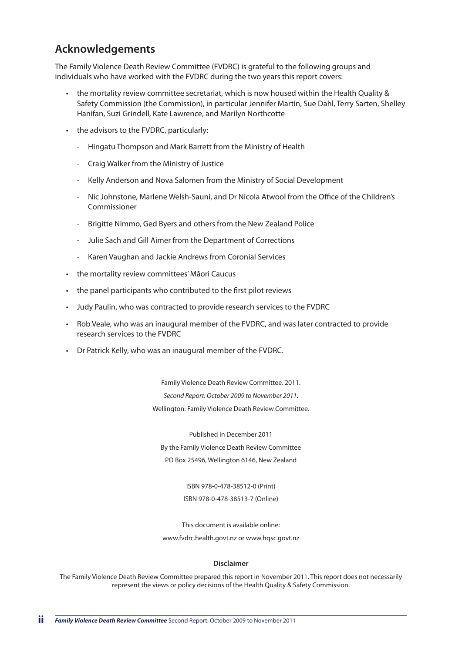## **Acknowledgements**

The Family Violence Death Review Committee (FVDRC) is grateful to the following groups and individuals who have worked with the FVDRC during the two years this report covers:

- • the mortality review committee secretariat, which is now housed within the Health Quality & Safety Commission (the Commission), in particular Jennifer Martin, Sue Dahl, Terry Sarten, Shelley Hanifan, Suzi Grindell, Kate Lawrence, and Marilyn Northcotte
- • the advisors to the FVDRC, particularly:
	- Hingatu Thompson and Mark Barrett from the Ministry of Health
	- Craig Walker from the Ministry of Justice
	- Kelly Anderson and Nova Salomen from the Ministry of Social Development
	- Nic Johnstone, Marlene Welsh-Sauni, and Dr Nicola Atwool from the Office of the Children's Commissioner
	- Brigitte Nimmo, Ged Byers and others from the New Zealand Police
	- Julie Sach and Gill Aimer from the Department of Corrections
	- Karen Vaughan and Jackie Andrews from Coronial Services
- the mortality review committees' Māori Caucus
- the panel participants who contributed to the first pilot reviews
- Judy Paulin, who was contracted to provide research services to the FVDRC
- Rob Veale, who was an inaugural member of the FVDRC, and was later contracted to provide research services to the FVDRC
- **Dr Patrick Kelly, who was an inaugural member of the FVDRC.**

Family Violence Death Review Committee. 2011. *Second Report: October 2009 to November 2011*. Wellington: Family Violence Death Review Committee.

Published in December 2011 By the Family Violence Death Review Committee PO Box 25496, Wellington 6146, New Zealand

> ISBN 978-0-478-38512-0 (Print) ISBN 978-0-478-38513-7 (Online)

This document is available online: www.fvdrc.health.govt.nz or www.hqsc.govt.nz

#### **Disclaimer**

The Family Violence Death Review Committee prepared this report in November 2011. This report does not necessarily represent the views or policy decisions of the Health Quality & Safety Commission.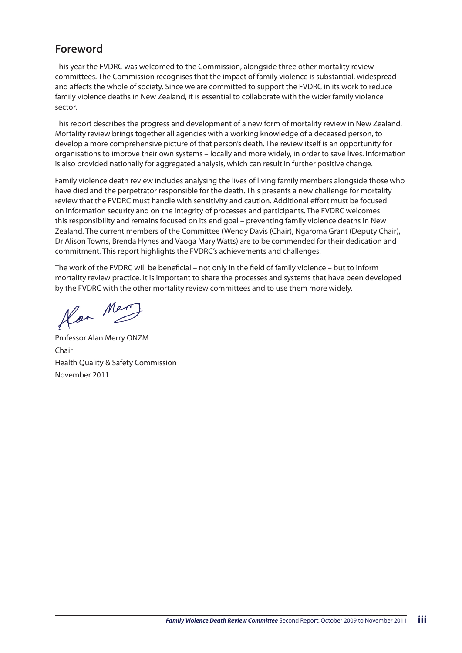## **Foreword**

This year the FVDRC was welcomed to the Commission, alongside three other mortality review committees. The Commission recognises that the impact of family violence is substantial, widespread and affects the whole of society. Since we are committed to support the FVDRC in its work to reduce family violence deaths in New Zealand, it is essential to collaborate with the wider family violence sector.

This report describes the progress and development of a new form of mortality review in New Zealand. Mortality review brings together all agencies with a working knowledge of a deceased person, to develop a more comprehensive picture of that person's death. The review itself is an opportunity for organisations to improve their own systems – locally and more widely, in order to save lives. Information is also provided nationally for aggregated analysis, which can result in further positive change.

Family violence death review includes analysing the lives of living family members alongside those who have died and the perpetrator responsible for the death. This presents a new challenge for mortality review that the FVDRC must handle with sensitivity and caution. Additional effort must be focused on information security and on the integrity of processes and participants. The FVDRC welcomes this responsibility and remains focused on its end goal – preventing family violence deaths in New Zealand. The current members of the Committee (Wendy Davis (Chair), Ngaroma Grant (Deputy Chair), Dr Alison Towns, Brenda Hynes and Vaoga Mary Watts) are to be commended for their dedication and commitment. This report highlights the FVDRC's achievements and challenges.

The work of the FVDRC will be beneficial – not only in the field of family violence – but to inform mortality review practice. It is important to share the processes and systems that have been developed by the FVDRC with the other mortality review committees and to use them more widely.

Hor Mer

Professor Alan Merry ONZM Chair Health Quality & Safety Commission November 2011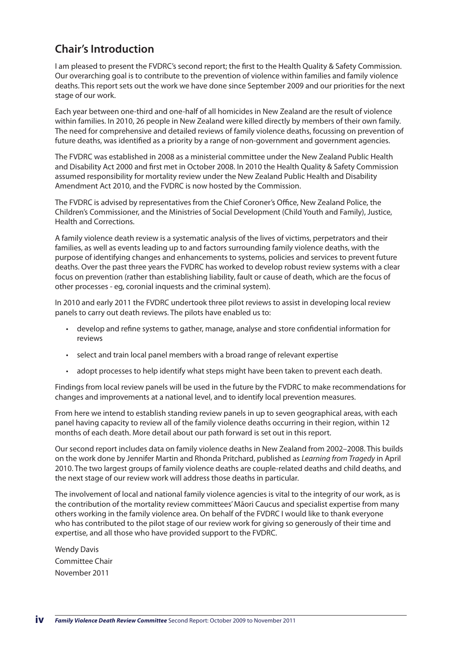## **Chair's Introduction**

I am pleased to present the FVDRC's second report; the first to the Health Quality & Safety Commission. Our overarching goal is to contribute to the prevention of violence within families and family violence deaths. This report sets out the work we have done since September 2009 and our priorities for the next stage of our work.

Each year between one-third and one-half of all homicides in New Zealand are the result of violence within families. In 2010, 26 people in New Zealand were killed directly by members of their own family. The need for comprehensive and detailed reviews of family violence deaths, focussing on prevention of future deaths, was identified as a priority by a range of non-government and government agencies.

The FVDRC was established in 2008 as a ministerial committee under the New Zealand Public Health and Disability Act 2000 and first met in October 2008. In 2010 the Health Quality & Safety Commission assumed responsibility for mortality review under the New Zealand Public Health and Disability Amendment Act 2010, and the FVDRC is now hosted by the Commission.

The FVDRC is advised by representatives from the Chief Coroner's Office, New Zealand Police, the Children's Commissioner, and the Ministries of Social Development (Child Youth and Family), Justice, Health and Corrections.

A family violence death review is a systematic analysis of the lives of victims, perpetrators and their families, as well as events leading up to and factors surrounding family violence deaths, with the purpose of identifying changes and enhancements to systems, policies and services to prevent future deaths. Over the past three years the FVDRC has worked to develop robust review systems with a clear focus on prevention (rather than establishing liability, fault or cause of death, which are the focus of other processes - eg, coronial inquests and the criminal system).

In 2010 and early 2011 the FVDRC undertook three pilot reviews to assist in developing local review panels to carry out death reviews. The pilots have enabled us to:

- • develop and refine systems to gather, manage, analyse and store confidential information for reviews
- • select and train local panel members with a broad range of relevant expertise
- adopt processes to help identify what steps might have been taken to prevent each death.

Findings from local review panels will be used in the future by the FVDRC to make recommendations for changes and improvements at a national level, and to identify local prevention measures.

From here we intend to establish standing review panels in up to seven geographical areas, with each panel having capacity to review all of the family violence deaths occurring in their region, within 12 months of each death. More detail about our path forward is set out in this report.

Our second report includes data on family violence deaths in New Zealand from 2002–2008. This builds on the work done by Jennifer Martin and Rhonda Pritchard, published as *Learning from Tragedy* in April 2010. The two largest groups of family violence deaths are couple-related deaths and child deaths, and the next stage of our review work will address those deaths in particular.

The involvement of local and national family violence agencies is vital to the integrity of our work, as is the contribution of the mortality review committees' Māori Caucus and specialist expertise from many others working in the family violence area. On behalf of the FVDRC I would like to thank everyone who has contributed to the pilot stage of our review work for giving so generously of their time and expertise, and all those who have provided support to the FVDRC.

Wendy Davis Committee Chair November 2011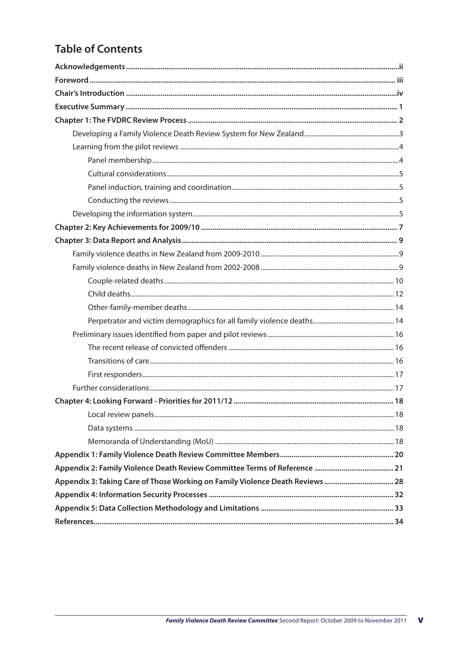## **Table of Contents**

| Appendix 3: Taking Care of Those Working on Family Violence Death Reviews  28 |  |
|-------------------------------------------------------------------------------|--|
|                                                                               |  |
|                                                                               |  |
|                                                                               |  |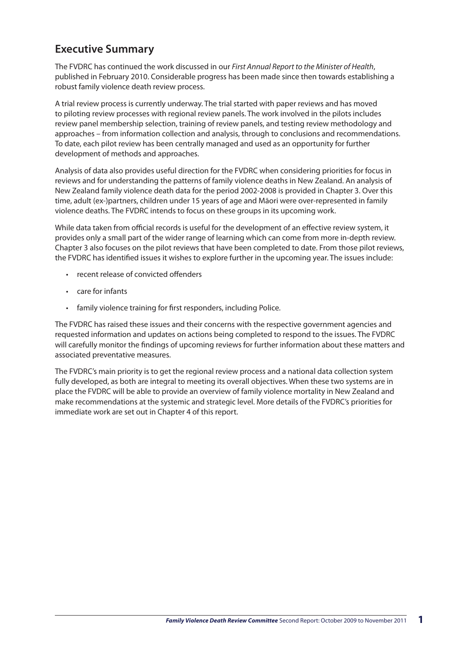## **Executive Summary**

The FVDRC has continued the work discussed in our *First Annual Report to the Minister of Health*, published in February 2010. Considerable progress has been made since then towards establishing a robust family violence death review process.

A trial review process is currently underway. The trial started with paper reviews and has moved to piloting review processes with regional review panels. The work involved in the pilots includes review panel membership selection, training of review panels, and testing review methodology and approaches – from information collection and analysis, through to conclusions and recommendations. To date, each pilot review has been centrally managed and used as an opportunity for further development of methods and approaches.

Analysis of data also provides useful direction for the FVDRC when considering priorities for focus in reviews and for understanding the patterns of family violence deaths in New Zealand. An analysis of New Zealand family violence death data for the period 2002-2008 is provided in Chapter 3. Over this time, adult (ex-)partners, children under 15 years of age and Māori were over-represented in family violence deaths. The FVDRC intends to focus on these groups in its upcoming work.

While data taken from official records is useful for the development of an effective review system, it provides only a small part of the wider range of learning which can come from more in-depth review. Chapter 3 also focuses on the pilot reviews that have been completed to date. From those pilot reviews, the FVDRC has identified issues it wishes to explore further in the upcoming year. The issues include:

- • recent release of convicted offenders
- • care for infants
- family violence training for first responders, including Police.

The FVDRC has raised these issues and their concerns with the respective government agencies and requested information and updates on actions being completed to respond to the issues. The FVDRC will carefully monitor the findings of upcoming reviews for further information about these matters and associated preventative measures.

The FVDRC's main priority is to get the regional review process and a national data collection system fully developed, as both are integral to meeting its overall objectives. When these two systems are in place the FVDRC will be able to provide an overview of family violence mortality in New Zealand and make recommendations at the systemic and strategic level. More details of the FVDRC's priorities for immediate work are set out in Chapter 4 of this report.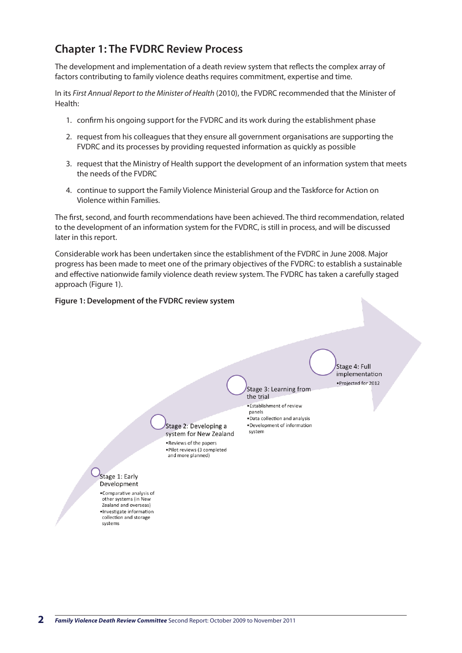## **Chapter 1: The FVDRC Review Process**

The development and implementation of a death review system that reflects the complex array of factors contributing to family violence deaths requires commitment, expertise and time.

In its *First Annual Report to the Minister of Health* (2010), the FVDRC recommended that the Minister of Health:

- 1. confirm his ongoing support for the FVDRC and its work during the establishment phase
- 2. request from his colleagues that they ensure all government organisations are supporting the FVDRC and its processes by providing requested information as quickly as possible
- 3. request that the Ministry of Health support the development of an information system that meets the needs of the FVDRC
- 4. continue to support the Family Violence Ministerial Group and the Taskforce for Action on Violence within Families.

The first, second, and fourth recommendations have been achieved. The third recommendation, related to the development of an information system for the FVDRC, is still in process, and will be discussed later in this report.

Considerable work has been undertaken since the establishment of the FVDRC in June 2008. Major progress has been made to meet one of the primary objectives of the FVDRC: to establish a sustainable and effective nationwide family violence death review system. The FVDRC has taken a carefully staged approach (Figure 1).

Stage 3: Learning from

. Data collection and analysis ·Development of information

.<br>Establishment of review

the trial

panels

system

#### **Figure 1: Development of the FVDRC review system**

Stage 4: Full implementation ·Projected for 2012

Stage 2: Developing a system for New Zealand . Reviews of the papers . Pilot reviews (3 completed and more planned)

Stage 1: Early Development

•Comparative analysis of other systems (in New Zealand and overseas) ·Investigate information collection and storage systems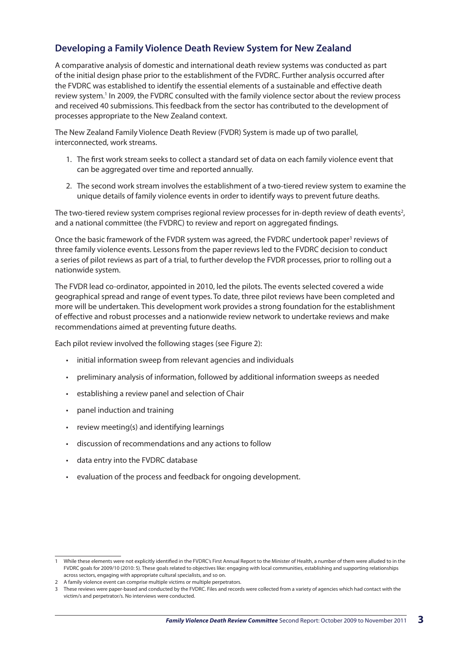#### **Developing a Family Violence Death Review System for New Zealand**

A comparative analysis of domestic and international death review systems was conducted as part of the initial design phase prior to the establishment of the FVDRC. Further analysis occurred after the FVDRC was established to identify the essential elements of a sustainable and effective death review system.<sup>1</sup> In 2009, the FVDRC consulted with the family violence sector about the review process and received 40 submissions. This feedback from the sector has contributed to the development of processes appropriate to the New Zealand context.

The New Zealand Family Violence Death Review (FVDR) System is made up of two parallel, interconnected, work streams.

- 1. The first work stream seeks to collect a standard set of data on each family violence event that can be aggregated over time and reported annually.
- 2. The second work stream involves the establishment of a two-tiered review system to examine the unique details of family violence events in order to identify ways to prevent future deaths.

The two-tiered review system comprises regional review processes for in-depth review of death events<sup>2</sup>, and a national committee (the FVDRC) to review and report on aggregated findings.

Once the basic framework of the FVDR system was agreed, the FVDRC undertook paper<sup>3</sup> reviews of three family violence events. Lessons from the paper reviews led to the FVDRC decision to conduct a series of pilot reviews as part of a trial, to further develop the FVDR processes, prior to rolling out a nationwide system.

The FVDR lead co-ordinator, appointed in 2010, led the pilots. The events selected covered a wide geographical spread and range of event types. To date, three pilot reviews have been completed and more will be undertaken. This development work provides a strong foundation for the establishment of effective and robust processes and a nationwide review network to undertake reviews and make recommendations aimed at preventing future deaths.

Each pilot review involved the following stages (see Figure 2):

- • initial information sweep from relevant agencies and individuals
- • preliminary analysis of information, followed by additional information sweeps as needed
- establishing a review panel and selection of Chair
- panel induction and training
- • review meeting(s) and identifying learnings
- • discussion of recommendations and any actions to follow
- • data entry into the FVDRC database
- • evaluation of the process and feedback for ongoing development.

<sup>1</sup> While these elements were not explicitly identified in the FVDRC's First Annual Report to the Minister of Health, a number of them were alluded to in the FVDRC goals for 2009/10 (2010: 5). These goals related to objectives like: engaging with local communities, establishing and supporting relationships across sectors, engaging with appropriate cultural specialists, and so on.

<sup>2</sup> A family violence event can comprise multiple victims or multiple perpetrators.

<sup>3</sup> These reviews were paper-based and conducted by the FVDRC. Files and records were collected from a variety of agencies which had contact with the victim/s and perpetrator/s. No interviews were conducted.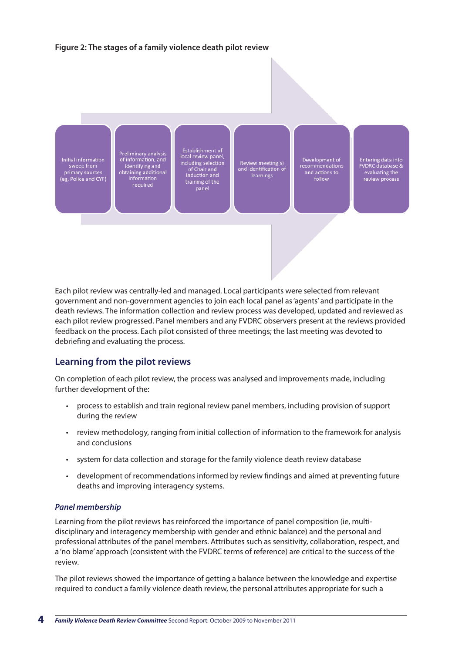#### **Figure 2: The stages of a family violence death pilot review**



Each pilot review was centrally-led and managed. Local participants were selected from relevant government and non-government agencies to join each local panel as 'agents' and participate in the death reviews. The information collection and review process was developed, updated and reviewed as each pilot review progressed. Panel members and any FVDRC observers present at the reviews provided feedback on the process. Each pilot consisted of three meetings; the last meeting was devoted to debriefing and evaluating the process.

#### **Learning from the pilot reviews**

On completion of each pilot review, the process was analysed and improvements made, including further development of the:

- • process to establish and train regional review panel members, including provision of support during the review
- • review methodology, ranging from initial collection of information to the framework for analysis and conclusions
- system for data collection and storage for the family violence death review database
- • development of recommendations informed by review findings and aimed at preventing future deaths and improving interagency systems.

#### *Panel membership*

Learning from the pilot reviews has reinforced the importance of panel composition (ie, multidisciplinary and interagency membership with gender and ethnic balance) and the personal and professional attributes of the panel members. Attributes such as sensitivity, collaboration, respect, and a 'no blame' approach (consistent with the FVDRC terms of reference) are critical to the success of the review.

The pilot reviews showed the importance of getting a balance between the knowledge and expertise required to conduct a family violence death review, the personal attributes appropriate for such a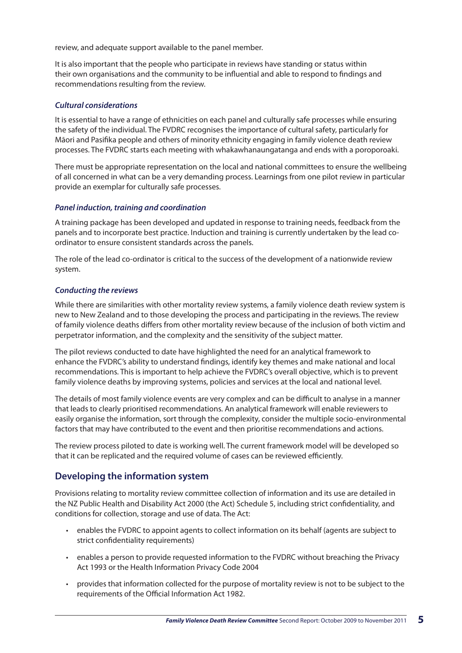review, and adequate support available to the panel member.

It is also important that the people who participate in reviews have standing or status within their own organisations and the community to be influential and able to respond to findings and recommendations resulting from the review.

#### *Cultural considerations*

It is essential to have a range of ethnicities on each panel and culturally safe processes while ensuring the safety of the individual. The FVDRC recognises the importance of cultural safety, particularly for Māori and Pasifika people and others of minority ethnicity engaging in family violence death review processes. The FVDRC starts each meeting with whakawhanaungatanga and ends with a poroporoaki.

There must be appropriate representation on the local and national committees to ensure the wellbeing of all concerned in what can be a very demanding process. Learnings from one pilot review in particular provide an exemplar for culturally safe processes.

#### *Panel induction, training and coordination*

A training package has been developed and updated in response to training needs, feedback from the panels and to incorporate best practice. Induction and training is currently undertaken by the lead coordinator to ensure consistent standards across the panels.

The role of the lead co-ordinator is critical to the success of the development of a nationwide review system.

#### *Conducting the reviews*

While there are similarities with other mortality review systems, a family violence death review system is new to New Zealand and to those developing the process and participating in the reviews. The review of family violence deaths differs from other mortality review because of the inclusion of both victim and perpetrator information, and the complexity and the sensitivity of the subject matter.

The pilot reviews conducted to date have highlighted the need for an analytical framework to enhance the FVDRC's ability to understand findings, identify key themes and make national and local recommendations. This is important to help achieve the FVDRC's overall objective, which is to prevent family violence deaths by improving systems, policies and services at the local and national level.

The details of most family violence events are very complex and can be difficult to analyse in a manner that leads to clearly prioritised recommendations. An analytical framework will enable reviewers to easily organise the information, sort through the complexity, consider the multiple socio-environmental factors that may have contributed to the event and then prioritise recommendations and actions.

The review process piloted to date is working well. The current framework model will be developed so that it can be replicated and the required volume of cases can be reviewed efficiently.

#### **Developing the information system**

Provisions relating to mortality review committee collection of information and its use are detailed in the NZ Public Health and Disability Act 2000 (the Act) Schedule 5, including strict confidentiality, and conditions for collection, storage and use of data. The Act:

- • enables the FVDRC to appoint agents to collect information on its behalf (agents are subject to strict confidentiality requirements)
- • enables a person to provide requested information to the FVDRC without breaching the Privacy Act 1993 or the Health Information Privacy Code 2004
- • provides that information collected for the purpose of mortality review is not to be subject to the requirements of the Official Information Act 1982.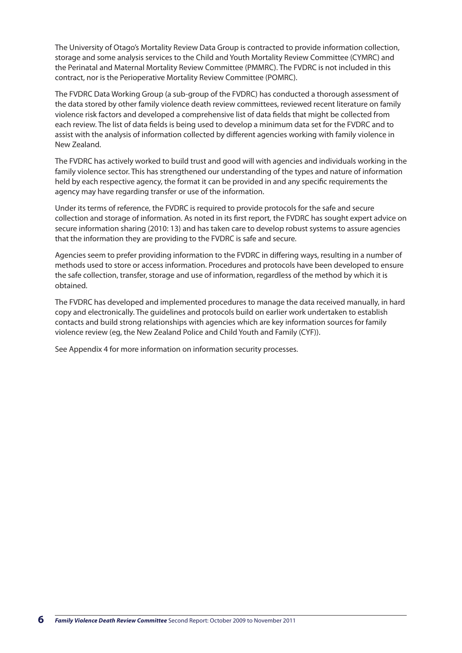The University of Otago's Mortality Review Data Group is contracted to provide information collection, storage and some analysis services to the Child and Youth Mortality Review Committee (CYMRC) and the Perinatal and Maternal Mortality Review Committee (PMMRC). The FVDRC is not included in this contract, nor is the Perioperative Mortality Review Committee (POMRC).

The FVDRC Data Working Group (a sub-group of the FVDRC) has conducted a thorough assessment of the data stored by other family violence death review committees, reviewed recent literature on family violence risk factors and developed a comprehensive list of data fields that might be collected from each review. The list of data fields is being used to develop a minimum data set for the FVDRC and to assist with the analysis of information collected by different agencies working with family violence in New Zealand.

The FVDRC has actively worked to build trust and good will with agencies and individuals working in the family violence sector. This has strengthened our understanding of the types and nature of information held by each respective agency, the format it can be provided in and any specific requirements the agency may have regarding transfer or use of the information.

Under its terms of reference, the FVDRC is required to provide protocols for the safe and secure collection and storage of information. As noted in its first report*,* the FVDRC has sought expert advice on secure information sharing (2010: 13) and has taken care to develop robust systems to assure agencies that the information they are providing to the FVDRC is safe and secure.

Agencies seem to prefer providing information to the FVDRC in differing ways, resulting in a number of methods used to store or access information. Procedures and protocols have been developed to ensure the safe collection, transfer, storage and use of information, regardless of the method by which it is obtained.

The FVDRC has developed and implemented procedures to manage the data received manually, in hard copy and electronically. The guidelines and protocols build on earlier work undertaken to establish contacts and build strong relationships with agencies which are key information sources for family violence review (eg, the New Zealand Police and Child Youth and Family (CYF)).

See Appendix 4 for more information on information security processes.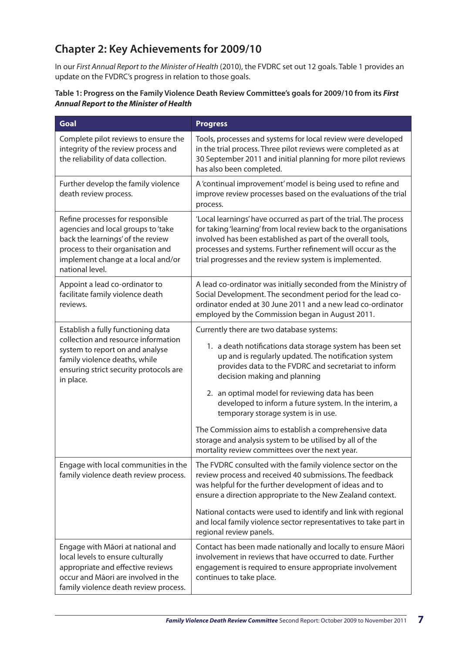## **Chapter 2: Key Achievements for 2009/10**

In our *First Annual Report to the Minister of Health* (2010), the FVDRC set out 12 goals. Table 1 provides an update on the FVDRC's progress in relation to those goals.

| Goal                                                                                                                                                                                                      | <b>Progress</b>                                                                                                                                                                                                                                                                                                                |
|-----------------------------------------------------------------------------------------------------------------------------------------------------------------------------------------------------------|--------------------------------------------------------------------------------------------------------------------------------------------------------------------------------------------------------------------------------------------------------------------------------------------------------------------------------|
| Complete pilot reviews to ensure the<br>integrity of the review process and<br>the reliability of data collection.                                                                                        | Tools, processes and systems for local review were developed<br>in the trial process. Three pilot reviews were completed as at<br>30 September 2011 and initial planning for more pilot reviews<br>has also been completed.                                                                                                    |
| Further develop the family violence<br>death review process.                                                                                                                                              | A 'continual improvement' model is being used to refine and<br>improve review processes based on the evaluations of the trial<br>process.                                                                                                                                                                                      |
| Refine processes for responsible<br>agencies and local groups to 'take<br>back the learnings' of the review<br>process to their organisation and<br>implement change at a local and/or<br>national level. | 'Local learnings' have occurred as part of the trial. The process<br>for taking 'learning' from local review back to the organisations<br>involved has been established as part of the overall tools,<br>processes and systems. Further refinement will occur as the<br>trial progresses and the review system is implemented. |
| Appoint a lead co-ordinator to<br>facilitate family violence death<br>reviews.                                                                                                                            | A lead co-ordinator was initially seconded from the Ministry of<br>Social Development. The secondment period for the lead co-<br>ordinator ended at 30 June 2011 and a new lead co-ordinator<br>employed by the Commission began in August 2011.                                                                               |
| Establish a fully functioning data<br>collection and resource information<br>system to report on and analyse<br>family violence deaths, while<br>ensuring strict security protocols are<br>in place.      | Currently there are two database systems:<br>1. a death notifications data storage system has been set<br>up and is regularly updated. The notification system<br>provides data to the FVDRC and secretariat to inform<br>decision making and planning                                                                         |
|                                                                                                                                                                                                           | 2. an optimal model for reviewing data has been<br>developed to inform a future system. In the interim, a<br>temporary storage system is in use.                                                                                                                                                                               |
|                                                                                                                                                                                                           | The Commission aims to establish a comprehensive data<br>storage and analysis system to be utilised by all of the<br>mortality review committees over the next year.                                                                                                                                                           |
| Engage with local communities in the<br>family violence death review process.                                                                                                                             | The FVDRC consulted with the family violence sector on the<br>review process and received 40 submissions. The feedback<br>was helpful for the further development of ideas and to<br>ensure a direction appropriate to the New Zealand context.                                                                                |
|                                                                                                                                                                                                           | National contacts were used to identify and link with regional<br>and local family violence sector representatives to take part in<br>regional review panels.                                                                                                                                                                  |
| Engage with Māori at national and<br>local levels to ensure culturally<br>appropriate and effective reviews<br>occur and Māori are involved in the<br>family violence death review process.               | Contact has been made nationally and locally to ensure Māori<br>involvement in reviews that have occurred to date. Further<br>engagement is required to ensure appropriate involvement<br>continues to take place.                                                                                                             |

#### **Table 1: Progress on the Family Violence Death Review Committee's goals for 2009/10 from its** *First Annual Report to the Minister of Health*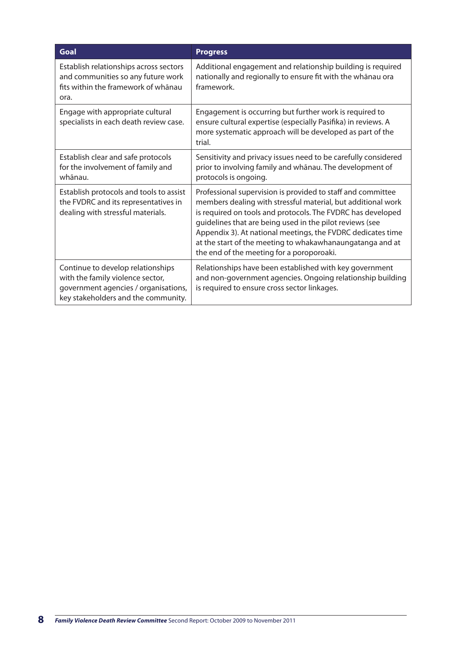| Goal                                                                                                                                                 | <b>Progress</b>                                                                                                                                                                                                                                                                                                                                                                                                                 |
|------------------------------------------------------------------------------------------------------------------------------------------------------|---------------------------------------------------------------------------------------------------------------------------------------------------------------------------------------------------------------------------------------------------------------------------------------------------------------------------------------------------------------------------------------------------------------------------------|
| Establish relationships across sectors<br>and communities so any future work<br>fits within the framework of whānau<br>ora.                          | Additional engagement and relationship building is required<br>nationally and regionally to ensure fit with the whanau ora<br>framework.                                                                                                                                                                                                                                                                                        |
| Engage with appropriate cultural<br>specialists in each death review case.                                                                           | Engagement is occurring but further work is required to<br>ensure cultural expertise (especially Pasifika) in reviews. A<br>more systematic approach will be developed as part of the<br>trial.                                                                                                                                                                                                                                 |
| Establish clear and safe protocols<br>for the involvement of family and<br>whānau.                                                                   | Sensitivity and privacy issues need to be carefully considered<br>prior to involving family and whānau. The development of<br>protocols is ongoing.                                                                                                                                                                                                                                                                             |
| Establish protocols and tools to assist<br>the FVDRC and its representatives in<br>dealing with stressful materials.                                 | Professional supervision is provided to staff and committee<br>members dealing with stressful material, but additional work<br>is required on tools and protocols. The FVDRC has developed<br>guidelines that are being used in the pilot reviews (see<br>Appendix 3). At national meetings, the FVDRC dedicates time<br>at the start of the meeting to whakawhanaungatanga and at<br>the end of the meeting for a poroporoaki. |
| Continue to develop relationships<br>with the family violence sector,<br>government agencies / organisations,<br>key stakeholders and the community. | Relationships have been established with key government<br>and non-government agencies. Ongoing relationship building<br>is required to ensure cross sector linkages.                                                                                                                                                                                                                                                           |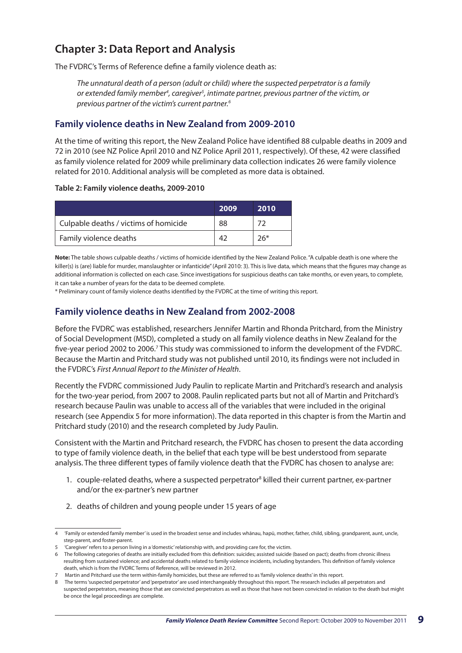## **Chapter 3: Data Report and Analysis**

The FVDRC's Terms of Reference define a family violence death as:

*The unnatural death of a person (adult or child) where the suspected perpetrator is a family or extended family member4 , caregiver5 , intimate partner, previous partner of the victim, or previous partner of the victim's current partner.6*

#### **Family violence deaths in New Zealand from 2009-2010**

At the time of writing this report, the New Zealand Police have identified 88 culpable deaths in 2009 and 72 in 2010 (see NZ Police April 2010 and NZ Police April 2011, respectively). Of these, 42 were classified as family violence related for 2009 while preliminary data collection indicates 26 were family violence related for 2010. Additional analysis will be completed as more data is obtained.

#### **Table 2: Family violence deaths, 2009-2010**

|                                       | 2009 | 2010 |
|---------------------------------------|------|------|
| Culpable deaths / victims of homicide | 88   | フつ   |
| Family violence deaths                |      | 26*  |

**Note:** The table shows culpable deaths / victims of homicide identified by the New Zealand Police. "A culpable death is one where the killer(s) is (are) liable for murder, manslaughter or infanticide" (April 2010: 3). This is live data, which means that the figures may change as additional information is collected on each case. Since investigations for suspicious deaths can take months, or even years, to complete, it can take a number of years for the data to be deemed complete.

\* Preliminary count of family violence deaths identified by the FVDRC at the time of writing this report.

#### **Family violence deaths in New Zealand from 2002-2008**

Before the FVDRC was established, researchers Jennifer Martin and Rhonda Pritchard, from the Ministry of Social Development (MSD), completed a study on all family violence deaths in New Zealand for the five-year period 2002 to 2006.<sup>7</sup> This study was commissioned to inform the development of the FVDRC. Because the Martin and Pritchard study was not published until 2010, its findings were not included in the FVDRC's *First Annual Report to the Minister of Health*.

Recently the FVDRC commissioned Judy Paulin to replicate Martin and Pritchard's research and analysis for the two-year period, from 2007 to 2008. Paulin replicated parts but not all of Martin and Pritchard's research because Paulin was unable to access all of the variables that were included in the original research (see Appendix 5 for more information). The data reported in this chapter is from the Martin and Pritchard study (2010) and the research completed by Judy Paulin.

Consistent with the Martin and Pritchard research, the FVDRC has chosen to present the data according to type of family violence death, in the belief that each type will be best understood from separate analysis. The three different types of family violence death that the FVDRC has chosen to analyse are:

- 1. couple-related deaths, where a suspected perpetrator<sup>8</sup> killed their current partner, ex-partner and/or the ex-partner's new partner
- 2. deaths of children and young people under 15 years of age

<sup>4 &#</sup>x27;Family or extended family member' is used in the broadest sense and includes whānau, hapū, mother, father, child, sibling, grandparent, aunt, uncle, step-parent, and foster-parent.

<sup>5 &#</sup>x27;Caregiver' refers to a person living in a 'domestic' relationship with, and providing care for, the victim.

<sup>6</sup> The following categories of deaths are initially excluded from this definition: suicides; assisted suicide (based on pact); deaths from chronic illness resulting from sustained violence; and accidental deaths related to family violence incidents, including bystanders. This definition of family violence death, which is from the FVDRC Terms of Reference, will be reviewed in 2012.

<sup>7</sup> Martin and Pritchard use the term within-family homicides, but these are referred to as 'family violence deaths' in this report.

<sup>8</sup> The terms 'suspected perpetrator' and 'perpetrator' are used interchangeably throughout this report. The research includes all perpetrators and suspected perpetrators, meaning those that are convicted perpetrators as well as those that have not been convicted in relation to the death but might be once the legal proceedings are complete.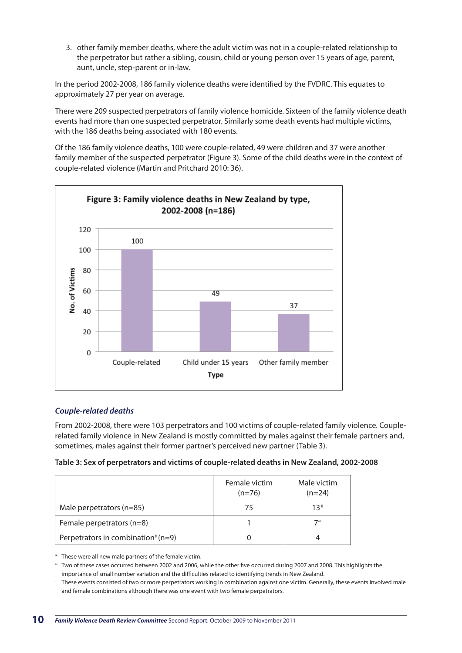3. other family member deaths, where the adult victim was not in a couple-related relationship to the perpetrator but rather a sibling, cousin, child or young person over 15 years of age, parent, aunt, uncle, step-parent or in-law.

In the period 2002-2008, 186 family violence deaths were identified by the FVDRC. This equates to approximately 27 per year on average.

There were 209 suspected perpetrators of family violence homicide. Sixteen of the family violence death events had more than one suspected perpetrator. Similarly some death events had multiple victims, with the 186 deaths being associated with 180 events.

Of the 186 family violence deaths, 100 were couple-related, 49 were children and 37 were another family member of the suspected perpetrator (Figure 3). Some of the child deaths were in the context of couple-related violence (Martin and Pritchard 2010: 36).



#### *Couple-related deaths*

From 2002-2008, there were 103 perpetrators and 100 victims of couple-related family violence. Couplerelated family violence in New Zealand is mostly committed by males against their female partners and, sometimes, males against their former partner's perceived new partner (Table 3).

|  | Table 3: Sex of perpetrators and victims of couple-related deaths in New Zealand, 2002-2008 |  |
|--|---------------------------------------------------------------------------------------------|--|
|--|---------------------------------------------------------------------------------------------|--|

|                                                             | Female victim<br>$(n=76)$ | Male victim<br>$(n=24)$ |
|-------------------------------------------------------------|---------------------------|-------------------------|
| Male perpetrators (n=85)                                    | 75                        | $13*$                   |
| Female perpetrators $(n=8)$                                 |                           | 7∞                      |
| Perpetrators in combination <sup><math>*</math></sup> (n=9) |                           |                         |

\* These were all new male partners of the female victim.

<sup>∞</sup> Two of these cases occurred between 2002 and 2006, while the other five occurred during 2007 and 2008. This highlights the importance of small number variation and the difficulties related to identifying trends in New Zealand.

<sup>‡</sup> These events consisted of two or more perpetrators working in combination against one victim. Generally, these events involved male and female combinations although there was one event with two female perpetrators.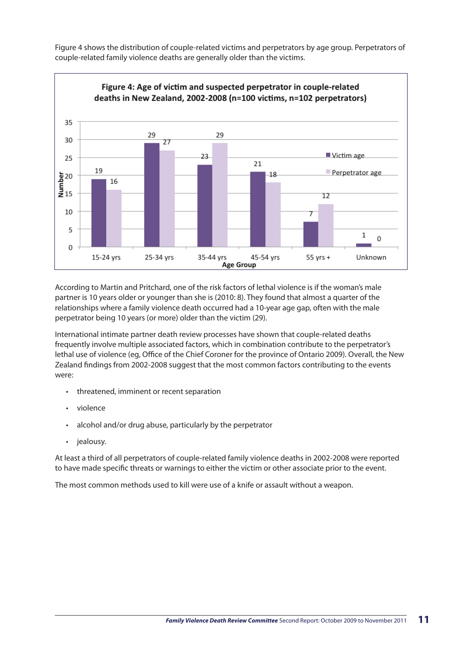Figure 4 shows the distribution of couple-related victims and perpetrators by age group. Perpetrators of couple-related family violence deaths are generally older than the victims.



According to Martin and Pritchard, one of the risk factors of lethal violence is if the woman's male partner is 10 years older or younger than she is (2010: 8). They found that almost a quarter of the relationships where a family violence death occurred had a 10-year age gap, often with the male perpetrator being 10 years (or more) older than the victim (29).

International intimate partner death review processes have shown that couple-related deaths frequently involve multiple associated factors, which in combination contribute to the perpetrator's lethal use of violence (eg, Office of the Chief Coroner for the province of Ontario 2009). Overall, the New Zealand findings from 2002-2008 suggest that the most common factors contributing to the events were:

- threatened, imminent or recent separation
- violence
- alcohol and/or drug abuse, particularly by the perpetrator
- jealousy.

At least a third of all perpetrators of couple-related family violence deaths in 2002-2008 were reported to have made specific threats or warnings to either the victim or other associate prior to the event.

The most common methods used to kill were use of a knife or assault without a weapon.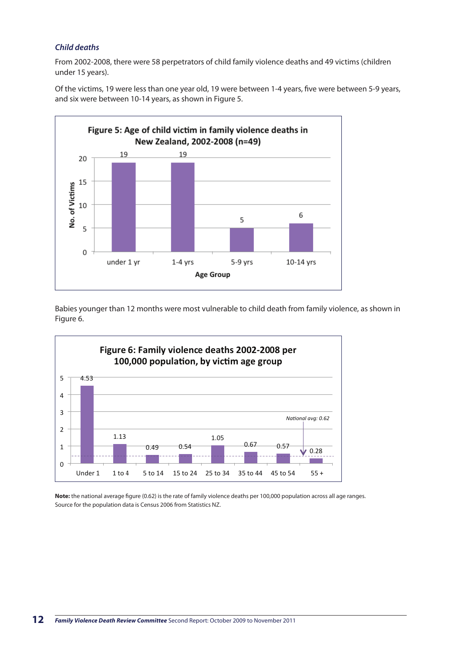#### *Child deaths*

From 2002-2008, there were 58 perpetrators of child family violence deaths and 49 victims (children under 15 years).

Of the victims, 19 were less than one year old, 19 were between 1-4 years, five were between 5-9 years, and six were between 10-14 years, as shown in Figure 5.



Babies younger than 12 months were most vulnerable to child death from family violence, as shown in Figure 6.



**Note:** the national average figure (0.62) is the rate of family violence deaths per 100,000 population across all age ranges. Source for the population data is Census 2006 from Statistics NZ.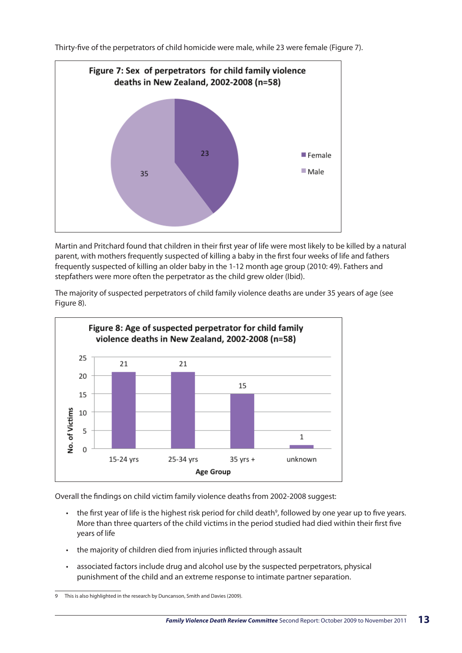Thirty-five of the perpetrators of child homicide were male, while 23 were female (Figure 7).



Martin and Pritchard found that children in their first year of life were most likely to be killed by a natural parent, with mothers frequently suspected of killing a baby in the first four weeks of life and fathers frequently suspected of killing an older baby in the 1-12 month age group (2010: 49). Fathers and stepfathers were more often the perpetrator as the child grew older (Ibid).

The majority of suspected perpetrators of child family violence deaths are under 35 years of age (see Figure 8).



Overall the findings on child victim family violence deaths from 2002-2008 suggest:

- $\cdot$  the first year of life is the highest risk period for child death<sup>9</sup>, followed by one year up to five years. More than three quarters of the child victims in the period studied had died within their first five years of life
- the majority of children died from injuries inflicted through assault
- • associated factors include drug and alcohol use by the suspected perpetrators, physical punishment of the child and an extreme response to intimate partner separation.

<sup>9</sup> This is also highlighted in the research by Duncanson, Smith and Davies (2009).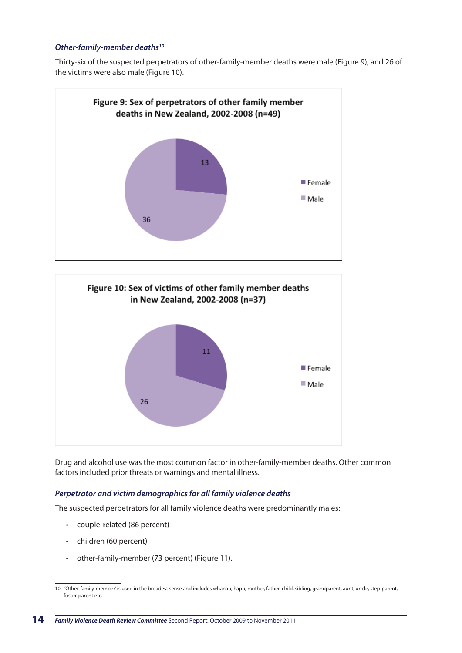#### *Other-family-member deaths10*

Thirty-six of the suspected perpetrators of other-family-member deaths were male (Figure 9), and 26 of the victims were also male (Figure 10).





Drug and alcohol use was the most common factor in other-family-member deaths. Other common factors included prior threats or warnings and mental illness.

#### *Perpetrator and victim demographics for all family violence deaths*

The suspected perpetrators for all family violence deaths were predominantly males:

- • couple-related (86 percent)
- • children (60 percent)
- • other-family-member (73 percent) (Figure 11).

<sup>10 &#</sup>x27;Other-family-member' is used in the broadest sense and includes whānau, hapū, mother, father, child, sibling, grandparent, aunt, uncle, step-parent, foster-parent etc.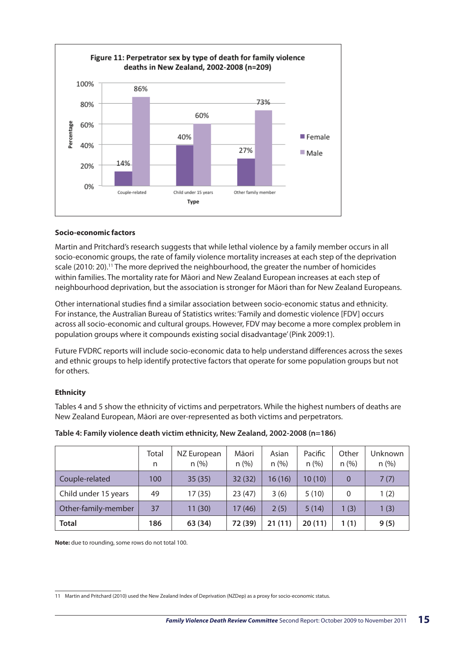

#### **Socio-economic factors**

Martin and Pritchard's research suggests that while lethal violence by a family member occurs in all socio-economic groups, the rate of family violence mortality increases at each step of the deprivation scale (2010: 20).<sup>11</sup> The more deprived the neighbourhood, the greater the number of homicides within families. The mortality rate for Māori and New Zealand European increases at each step of neighbourhood deprivation, but the association is stronger for Māori than for New Zealand Europeans.

Other international studies find a similar association between socio-economic status and ethnicity. For instance, the Australian Bureau of Statistics writes: 'Family and domestic violence [FDV] occurs across all socio-economic and cultural groups. However, FDV may become a more complex problem in population groups where it compounds existing social disadvantage' (Pink 2009:1).

Future FVDRC reports will include socio-economic data to help understand differences across the sexes and ethnic groups to help identify protective factors that operate for some population groups but not for others.

#### **Ethnicity**

Tables 4 and 5 show the ethnicity of victims and perpetrators. While the highest numbers of deaths are New Zealand European, Māori are over-represented as both victims and perpetrators.

|                      | Total<br>n | NZ European<br>n(%) | Māori<br>n (%) | Asian<br>n (%) | Pacific<br>n(%) | Other<br>$n$ (%) | Unknown<br>$n$ (%) |
|----------------------|------------|---------------------|----------------|----------------|-----------------|------------------|--------------------|
| Couple-related       | 100        | 35(35)              | 32(32)         | 16(16)         | 10(10)          | $\Omega$         | 7(7)               |
| Child under 15 years | 49         | 17(35)              | 23(47)         | 3(6)           | 5(10)           | $\Omega$         | 1(2)               |
| Other-family-member  | 37         | 11(30)              | 17(46)         | 2(5)           | 5(14)           | 1(3)             | 1(3)               |
| <b>Total</b>         | 186        | 63 (34)             | 72 (39)        | 21(11)         | 20(11)          | 1(1)             | 9(5)               |

#### **Table 4: Family violence death victim ethnicity, New Zealand, 2002-2008 (n=186)**

**Note:** due to rounding, some rows do not total 100.

<sup>11</sup> Martin and Pritchard (2010) used the New Zealand Index of Deprivation (NZDep) as a proxy for socio-economic status.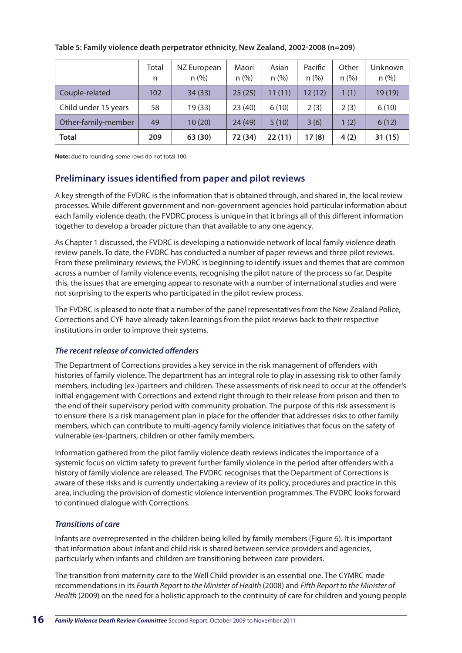|                      | Total<br>n | NZ European<br>n (%) | Māori<br>n (%) | Asian<br>n (%) | Pacific<br>n(%) | Other<br>n (%) | Unknown<br>$n$ (%) |
|----------------------|------------|----------------------|----------------|----------------|-----------------|----------------|--------------------|
| Couple-related       | 102        | 34(33)               | 25(25)         | 11(11)         | 12(12)          | 1(1)           | 19 (19)            |
| Child under 15 years | 58         | 19 (33)              | 23(40)         | 6(10)          | 2(3)            | 2(3)           | 6(10)              |
| Other-family-member  | 49         | 10(20)               | 24(49)         | 5(10)          | 3(6)            | 1(2)           | 6(12)              |
| <b>Total</b>         | 209        | 63 (30)              | 72 (34)        | 22(11)         | 17(8)           | 4(2)           | 31(15)             |

#### **Table 5: Family violence death perpetrator ethnicity, New Zealand, 2002-2008 (n=209)**

**Note:** due to rounding, some rows do not total 100.

#### **Preliminary issues identified from paper and pilot reviews**

A key strength of the FVDRC is the information that is obtained through, and shared in, the local review processes. While different government and non-government agencies hold particular information about each family violence death, the FVDRC process is unique in that it brings all of this different information together to develop a broader picture than that available to any one agency.

As Chapter 1 discussed, the FVDRC is developing a nationwide network of local family violence death review panels. To date, the FVDRC has conducted a number of paper reviews and three pilot reviews. From these preliminary reviews, the FVDRC is beginning to identify issues and themes that are common across a number of family violence events, recognising the pilot nature of the process so far. Despite this, the issues that are emerging appear to resonate with a number of international studies and were not surprising to the experts who participated in the pilot review process.

The FVDRC is pleased to note that a number of the panel representatives from the New Zealand Police, Corrections and CYF have already taken learnings from the pilot reviews back to their respective institutions in order to improve their systems.

#### *The recent release of convicted offenders*

The Department of Corrections provides a key service in the risk management of offenders with histories of family violence. The department has an integral role to play in assessing risk to other family members, including (ex-)partners and children. These assessments of risk need to occur at the offender's initial engagement with Corrections and extend right through to their release from prison and then to the end of their supervisory period with community probation. The purpose of this risk assessment is to ensure there is a risk management plan in place for the offender that addresses risks to other family members, which can contribute to multi-agency family violence initiatives that focus on the safety of vulnerable (ex-)partners, children or other family members.

Information gathered from the pilot family violence death reviews indicates the importance of a systemic focus on victim safety to prevent further family violence in the period after offenders with a history of family violence are released. The FVDRC recognises that the Department of Corrections is aware of these risks and is currently undertaking a review of its policy, procedures and practice in this area, including the provision of domestic violence intervention programmes. The FVDRC looks forward to continued dialogue with Corrections.

#### *Transitions of care*

Infants are overrepresented in the children being killed by family members (Figure 6). It is important that information about infant and child risk is shared between service providers and agencies, particularly when infants and children are transitioning between care providers.

The transition from maternity care to the Well Child provider is an essential one. The CYMRC made recommendations in its *Fourth Report to the Minister of Health* (2008) and *Fifth Report to the Minister of Health* (2009) on the need for a holistic approach to the continuity of care for children and young people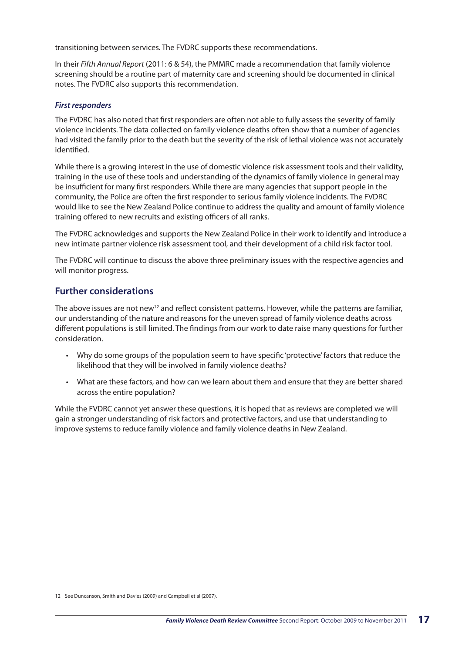transitioning between services. The FVDRC supports these recommendations.

In their *Fifth Annual Report* (2011: 6 & 54), the PMMRC made a recommendation that family violence screening should be a routine part of maternity care and screening should be documented in clinical notes. The FVDRC also supports this recommendation.

#### *First responders*

The FVDRC has also noted that first responders are often not able to fully assess the severity of family violence incidents. The data collected on family violence deaths often show that a number of agencies had visited the family prior to the death but the severity of the risk of lethal violence was not accurately identified.

While there is a growing interest in the use of domestic violence risk assessment tools and their validity, training in the use of these tools and understanding of the dynamics of family violence in general may be insufficient for many first responders. While there are many agencies that support people in the community, the Police are often the first responder to serious family violence incidents. The FVDRC would like to see the New Zealand Police continue to address the quality and amount of family violence training offered to new recruits and existing officers of all ranks.

The FVDRC acknowledges and supports the New Zealand Police in their work to identify and introduce a new intimate partner violence risk assessment tool, and their development of a child risk factor tool.

The FVDRC will continue to discuss the above three preliminary issues with the respective agencies and will monitor progress.

#### **Further considerations**

The above issues are not new<sup>12</sup> and reflect consistent patterns. However, while the patterns are familiar, our understanding of the nature and reasons for the uneven spread of family violence deaths across different populations is still limited. The findings from our work to date raise many questions for further consideration.

- Why do some groups of the population seem to have specific 'protective' factors that reduce the likelihood that they will be involved in family violence deaths?
- What are these factors, and how can we learn about them and ensure that they are better shared across the entire population?

While the FVDRC cannot yet answer these questions, it is hoped that as reviews are completed we will gain a stronger understanding of risk factors and protective factors, and use that understanding to improve systems to reduce family violence and family violence deaths in New Zealand.

<sup>12</sup> See Duncanson, Smith and Davies (2009) and Campbell et al (2007).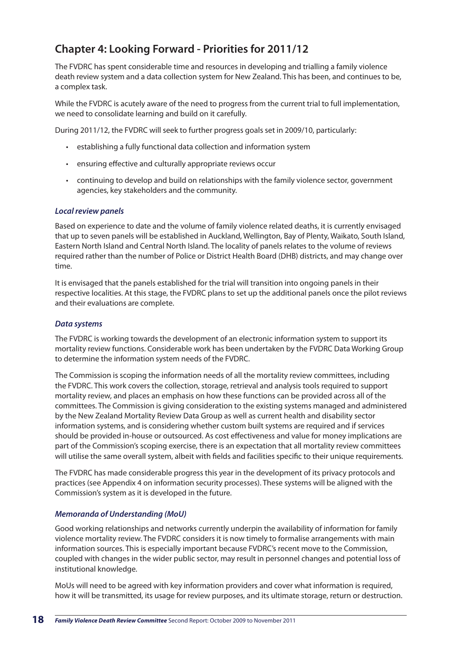## **Chapter 4: Looking Forward - Priorities for 2011/12**

The FVDRC has spent considerable time and resources in developing and trialling a family violence death review system and a data collection system for New Zealand. This has been, and continues to be, a complex task.

While the FVDRC is acutely aware of the need to progress from the current trial to full implementation, we need to consolidate learning and build on it carefully.

During 2011/12, the FVDRC will seek to further progress goals set in 2009/10, particularly:

- • establishing a fully functional data collection and information system
- • ensuring effective and culturally appropriate reviews occur
- • continuing to develop and build on relationships with the family violence sector, government agencies, key stakeholders and the community.

#### *Local review panels*

Based on experience to date and the volume of family violence related deaths, it is currently envisaged that up to seven panels will be established in Auckland, Wellington, Bay of Plenty, Waikato, South Island, Eastern North Island and Central North Island. The locality of panels relates to the volume of reviews required rather than the number of Police or District Health Board (DHB) districts, and may change over time.

It is envisaged that the panels established for the trial will transition into ongoing panels in their respective localities. At this stage, the FVDRC plans to set up the additional panels once the pilot reviews and their evaluations are complete.

#### *Data systems*

The FVDRC is working towards the development of an electronic information system to support its mortality review functions. Considerable work has been undertaken by the FVDRC Data Working Group to determine the information system needs of the FVDRC.

The Commission is scoping the information needs of all the mortality review committees, including the FVDRC. This work covers the collection, storage, retrieval and analysis tools required to support mortality review, and places an emphasis on how these functions can be provided across all of the committees. The Commission is giving consideration to the existing systems managed and administered by the New Zealand Mortality Review Data Group as well as current health and disability sector information systems, and is considering whether custom built systems are required and if services should be provided in-house or outsourced. As cost effectiveness and value for money implications are part of the Commission's scoping exercise, there is an expectation that all mortality review committees will utilise the same overall system, albeit with fields and facilities specific to their unique requirements.

The FVDRC has made considerable progress this year in the development of its privacy protocols and practices (see Appendix 4 on information security processes). These systems will be aligned with the Commission's system as it is developed in the future.

#### *Memoranda of Understanding (MoU)*

Good working relationships and networks currently underpin the availability of information for family violence mortality review. The FVDRC considers it is now timely to formalise arrangements with main information sources. This is especially important because FVDRC's recent move to the Commission, coupled with changes in the wider public sector, may result in personnel changes and potential loss of institutional knowledge.

MoUs will need to be agreed with key information providers and cover what information is required, how it will be transmitted, its usage for review purposes, and its ultimate storage, return or destruction.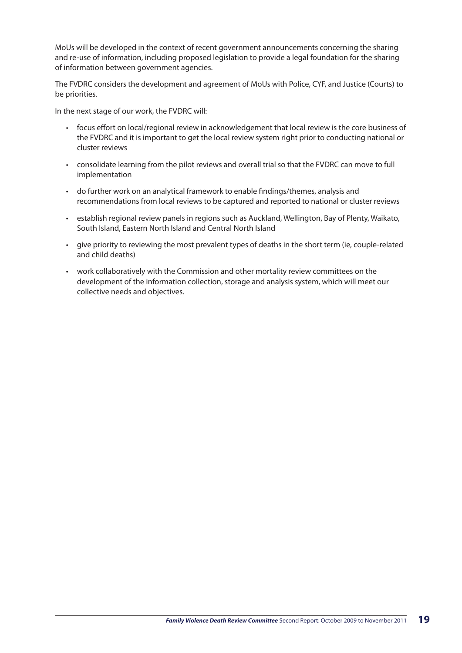MoUs will be developed in the context of recent government announcements concerning the sharing and re-use of information, including proposed legislation to provide a legal foundation for the sharing of information between government agencies.

The FVDRC considers the development and agreement of MoUs with Police, CYF, and Justice (Courts) to be priorities.

In the next stage of our work, the FVDRC will:

- • focus effort on local/regional review in acknowledgement that local review is the core business of the FVDRC and it is important to get the local review system right prior to conducting national or cluster reviews
- consolidate learning from the pilot reviews and overall trial so that the FVDRC can move to full implementation
- • do further work on an analytical framework to enable findings/themes, analysis and recommendations from local reviews to be captured and reported to national or cluster reviews
- • establish regional review panels in regions such as Auckland, Wellington, Bay of Plenty, Waikato, South Island, Eastern North Island and Central North Island
- • give priority to reviewing the most prevalent types of deaths in the short term (ie, couple-related and child deaths)
- • work collaboratively with the Commission and other mortality review committees on the development of the information collection, storage and analysis system, which will meet our collective needs and objectives.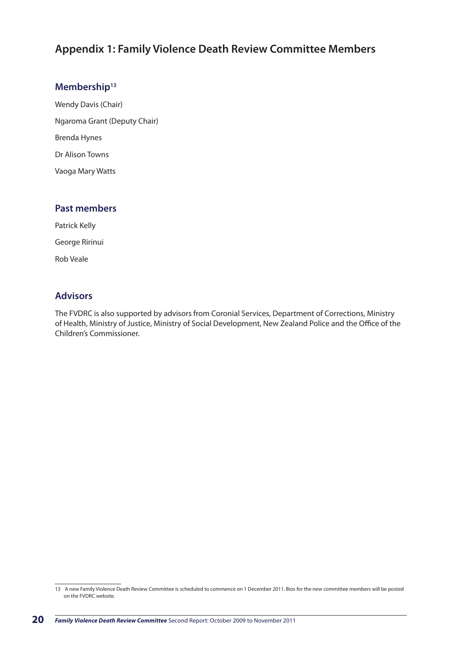## **Appendix 1: Family Violence Death Review Committee Members**

#### **Membership13**

Wendy Davis (Chair) Ngaroma Grant (Deputy Chair) Brenda Hynes Dr Alison Towns Vaoga Mary Watts

#### **Past members**

Patrick Kelly George Ririnui Rob Veale

#### **Advisors**

The FVDRC is also supported by advisors from Coronial Services, Department of Corrections, Ministry of Health, Ministry of Justice, Ministry of Social Development, New Zealand Police and the Office of the Children's Commissioner.

<sup>13</sup> A new Family Violence Death Review Committee is scheduled to commence on 1 December 2011. Bios for the new committee members will be posted on the FVDRC website.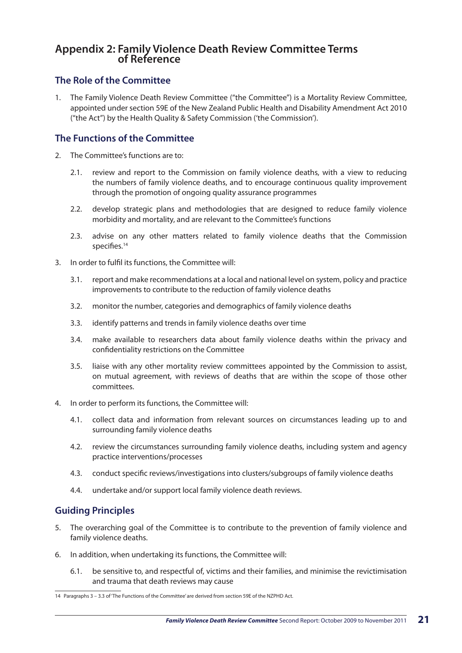#### **Appendix 2: Family Violence Death Review Committee Terms of Reference**

#### **The Role of the Committee**

1. The Family Violence Death Review Committee ("the Committee") is a Mortality Review Committee, appointed under section 59E of the New Zealand Public Health and Disability Amendment Act 2010 ("the Act") by the Health Quality & Safety Commission ('the Commission').

#### **The Functions of the Committee**

- 2. The Committee's functions are to:
	- 2.1. review and report to the Commission on family violence deaths, with a view to reducing the numbers of family violence deaths, and to encourage continuous quality improvement through the promotion of ongoing quality assurance programmes
	- 2.2. develop strategic plans and methodologies that are designed to reduce family violence morbidity and mortality, and are relevant to the Committee's functions
	- 2.3. advise on any other matters related to family violence deaths that the Commission specifies.<sup>14</sup>
- 3. In order to fulfil its functions, the Committee will:
	- 3.1. report and make recommendations at a local and national level on system, policy and practice improvements to contribute to the reduction of family violence deaths
	- 3.2. monitor the number, categories and demographics of family violence deaths
	- 3.3. identify patterns and trends in family violence deaths over time
	- 3.4. make available to researchers data about family violence deaths within the privacy and confidentiality restrictions on the Committee
	- 3.5. liaise with any other mortality review committees appointed by the Commission to assist, on mutual agreement, with reviews of deaths that are within the scope of those other committees.
- 4. In order to perform its functions, the Committee will:
	- 4.1. collect data and information from relevant sources on circumstances leading up to and surrounding family violence deaths
	- 4.2. review the circumstances surrounding family violence deaths, including system and agency practice interventions/processes
	- 4.3. conduct specific reviews/investigations into clusters/subgroups of family violence deaths
	- 4.4. undertake and/or support local family violence death reviews.

## **Guiding Principles**

- 5. The overarching goal of the Committee is to contribute to the prevention of family violence and family violence deaths.
- 6. In addition, when undertaking its functions, the Committee will:
	- 6.1. be sensitive to, and respectful of, victims and their families, and minimise the revictimisation and trauma that death reviews may cause

<sup>14</sup> Paragraphs 3 – 3.3 of 'The Functions of the Committee' are derived from section 59E of the NZPHD Act.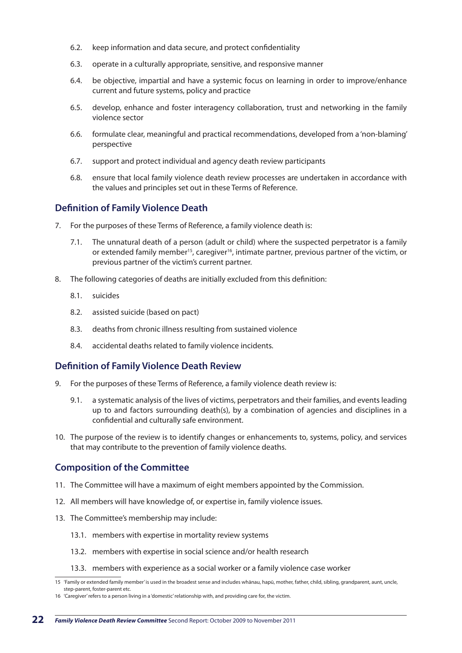- 6.2. keep information and data secure, and protect confidentiality
- 6.3. operate in a culturally appropriate, sensitive, and responsive manner
- 6.4. be objective, impartial and have a systemic focus on learning in order to improve/enhance current and future systems, policy and practice
- 6.5. develop, enhance and foster interagency collaboration, trust and networking in the family violence sector
- 6.6. formulate clear, meaningful and practical recommendations, developed from a 'non-blaming' perspective
- 6.7. support and protect individual and agency death review participants
- 6.8. ensure that local family violence death review processes are undertaken in accordance with the values and principles set out in these Terms of Reference.

#### **Definition of Family Violence Death**

- 7. For the purposes of these Terms of Reference, a family violence death is:
	- 7.1. The unnatural death of a person (adult or child) where the suspected perpetrator is a family or extended family member<sup>15</sup>, caregiver<sup>16</sup>, intimate partner, previous partner of the victim, or previous partner of the victim's current partner.
- 8. The following categories of deaths are initially excluded from this definition:
	- 8.1. suicides
	- 8.2. assisted suicide (based on pact)
	- 8.3. deaths from chronic illness resulting from sustained violence
	- 8.4. accidental deaths related to family violence incidents.

#### **Definition of Family Violence Death Review**

- 9. For the purposes of these Terms of Reference, a family violence death review is:
	- 9.1. a systematic analysis of the lives of victims, perpetrators and their families, and events leading up to and factors surrounding death(s), by a combination of agencies and disciplines in a confidential and culturally safe environment.
- 10. The purpose of the review is to identify changes or enhancements to, systems, policy, and services that may contribute to the prevention of family violence deaths.

#### **Composition of the Committee**

- 11. The Committee will have a maximum of eight members appointed by the Commission.
- 12. All members will have knowledge of, or expertise in, family violence issues.
- 13. The Committee's membership may include:
	- 13.1. members with expertise in mortality review systems
	- 13.2. members with expertise in social science and/or health research
	- 13.3. members with experience as a social worker or a family violence case worker

<sup>15</sup> 'Family or extended family member' is used in the broadest sense and includes whānau, hapū, mother, father, child, sibling, grandparent, aunt, uncle, step-parent, foster-parent etc.

<sup>16</sup> 'Caregiver' refers to a person living in a 'domestic' relationship with, and providing care for, the victim.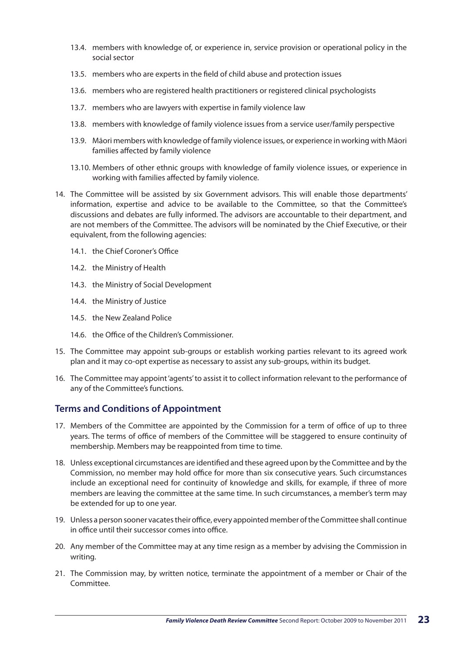- 13.4. members with knowledge of, or experience in, service provision or operational policy in the social sector
- 13.5. members who are experts in the field of child abuse and protection issues
- 13.6. members who are registered health practitioners or registered clinical psychologists
- 13.7. members who are lawyers with expertise in family violence law
- 13.8. members with knowledge of family violence issues from a service user/family perspective
- 13.9. Māori members with knowledge of family violence issues, or experience in working with Māori families affected by family violence
- 13.10. Members of other ethnic groups with knowledge of family violence issues, or experience in working with families affected by family violence.
- 14. The Committee will be assisted by six Government advisors. This will enable those departments' information, expertise and advice to be available to the Committee, so that the Committee's discussions and debates are fully informed. The advisors are accountable to their department, and are not members of the Committee. The advisors will be nominated by the Chief Executive, or their equivalent, from the following agencies:
	- 14.1. the Chief Coroner's Office
	- 14.2. the Ministry of Health
	- 14.3. the Ministry of Social Development
	- 14.4. the Ministry of Justice
	- 14.5. the New Zealand Police
	- 14.6. the Office of the Children's Commissioner.
- 15. The Committee may appoint sub-groups or establish working parties relevant to its agreed work plan and it may co-opt expertise as necessary to assist any sub-groups, within its budget.
- 16. The Committee may appoint 'agents' to assist it to collect information relevant to the performance of any of the Committee's functions.

#### **Terms and Conditions of Appointment**

- 17. Members of the Committee are appointed by the Commission for a term of office of up to three years. The terms of office of members of the Committee will be staggered to ensure continuity of membership. Members may be reappointed from time to time.
- 18. Unless exceptional circumstances are identified and these agreed upon by the Committee and by the Commission, no member may hold office for more than six consecutive years. Such circumstances include an exceptional need for continuity of knowledge and skills, for example, if three of more members are leaving the committee at the same time. In such circumstances, a member's term may be extended for up to one year.
- 19. Unless a person sooner vacates their office, every appointed member of the Committee shall continue in office until their successor comes into office.
- 20. Any member of the Committee may at any time resign as a member by advising the Commission in writing.
- 21. The Commission may, by written notice, terminate the appointment of a member or Chair of the Committee.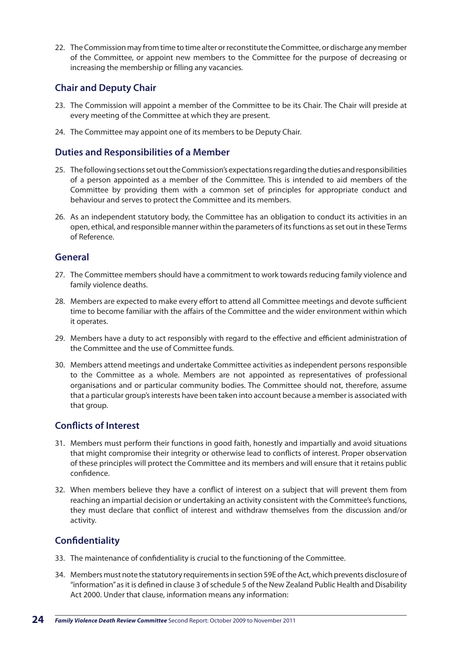22. The Commission may from time to time alter or reconstitute the Committee, or discharge any member of the Committee, or appoint new members to the Committee for the purpose of decreasing or increasing the membership or filling any vacancies.

#### **Chair and Deputy Chair**

- 23. The Commission will appoint a member of the Committee to be its Chair. The Chair will preside at every meeting of the Committee at which they are present.
- 24. The Committee may appoint one of its members to be Deputy Chair.

#### **Duties and Responsibilities of a Member**

- 25. The following sections set out the Commission's expectations regarding the duties and responsibilities of a person appointed as a member of the Committee. This is intended to aid members of the Committee by providing them with a common set of principles for appropriate conduct and behaviour and serves to protect the Committee and its members.
- 26. As an independent statutory body, the Committee has an obligation to conduct its activities in an open, ethical, and responsible manner within the parameters of its functions as set out in these Terms of Reference.

#### **General**

- 27. The Committee members should have a commitment to work towards reducing family violence and family violence deaths.
- 28. Members are expected to make every effort to attend all Committee meetings and devote sufficient time to become familiar with the affairs of the Committee and the wider environment within which it operates.
- 29. Members have a duty to act responsibly with regard to the effective and efficient administration of the Committee and the use of Committee funds.
- 30. Members attend meetings and undertake Committee activities as independent persons responsible to the Committee as a whole. Members are not appointed as representatives of professional organisations and or particular community bodies. The Committee should not, therefore, assume that a particular group's interests have been taken into account because a member is associated with that group.

#### **Conflicts of Interest**

- 31. Members must perform their functions in good faith, honestly and impartially and avoid situations that might compromise their integrity or otherwise lead to conflicts of interest. Proper observation of these principles will protect the Committee and its members and will ensure that it retains public confidence.
- 32. When members believe they have a conflict of interest on a subject that will prevent them from reaching an impartial decision or undertaking an activity consistent with the Committee's functions, they must declare that conflict of interest and withdraw themselves from the discussion and/or activity.

## **Confidentiality**

- 33. The maintenance of confidentiality is crucial to the functioning of the Committee.
- 34. Members must note the statutory requirements in section 59E of the Act, which prevents disclosure of "information" as it is defined in clause 3 of schedule 5 of the New Zealand Public Health and Disability Act 2000. Under that clause, information means any information: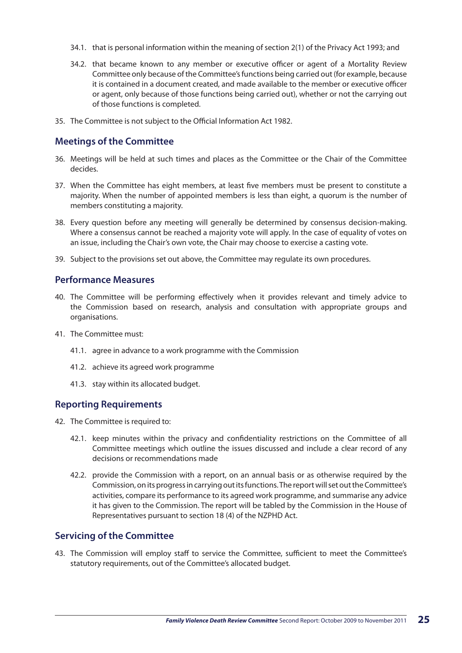- 34.1. that is personal information within the meaning of section 2(1) of the Privacy Act 1993; and
- 34.2. that became known to any member or executive officer or agent of a Mortality Review Committee only because of the Committee's functions being carried out (for example, because it is contained in a document created, and made available to the member or executive officer or agent, only because of those functions being carried out), whether or not the carrying out of those functions is completed.
- 35. The Committee is not subject to the Official Information Act 1982.

#### **Meetings of the Committee**

- 36. Meetings will be held at such times and places as the Committee or the Chair of the Committee decides.
- 37. When the Committee has eight members, at least five members must be present to constitute a majority. When the number of appointed members is less than eight, a quorum is the number of members constituting a majority.
- 38. Every question before any meeting will generally be determined by consensus decision-making. Where a consensus cannot be reached a majority vote will apply. In the case of equality of votes on an issue, including the Chair's own vote, the Chair may choose to exercise a casting vote.
- 39. Subject to the provisions set out above, the Committee may regulate its own procedures.

#### **Performance Measures**

- 40. The Committee will be performing effectively when it provides relevant and timely advice to the Commission based on research, analysis and consultation with appropriate groups and organisations.
- 41. The Committee must:
	- 41.1. agree in advance to a work programme with the Commission
	- 41.2. achieve its agreed work programme
	- 41.3. stay within its allocated budget.

#### **Reporting Requirements**

- 42. The Committee is required to:
	- 42.1. keep minutes within the privacy and confidentiality restrictions on the Committee of all Committee meetings which outline the issues discussed and include a clear record of any decisions or recommendations made
	- 42.2. provide the Commission with a report, on an annual basis or as otherwise required by the Commission, on its progress in carrying out its functions. The report will set out the Committee's activities, compare its performance to its agreed work programme, and summarise any advice it has given to the Commission. The report will be tabled by the Commission in the House of Representatives pursuant to section 18 (4) of the NZPHD Act.

#### **Servicing of the Committee**

43. The Commission will employ staff to service the Committee, sufficient to meet the Committee's statutory requirements, out of the Committee's allocated budget.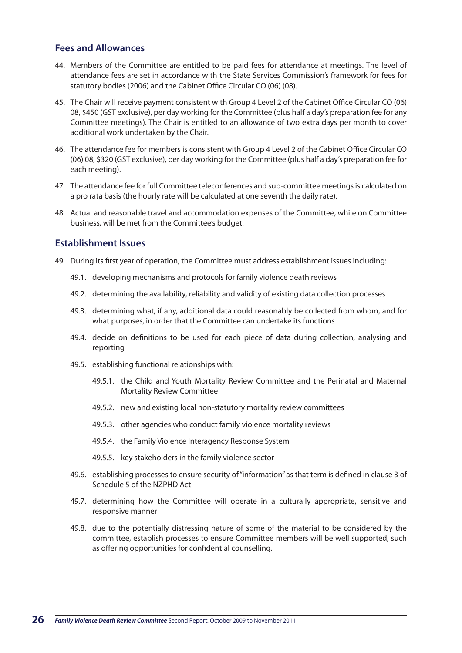#### **Fees and Allowances**

- 44. Members of the Committee are entitled to be paid fees for attendance at meetings. The level of attendance fees are set in accordance with the State Services Commission's framework for fees for statutory bodies (2006) and the Cabinet Office Circular CO (06) (08).
- 45. The Chair will receive payment consistent with Group 4 Level 2 of the Cabinet Office Circular CO (06) 08, \$450 (GST exclusive), per day working for the Committee (plus half a day's preparation fee for any Committee meetings). The Chair is entitled to an allowance of two extra days per month to cover additional work undertaken by the Chair.
- 46. The attendance fee for members is consistent with Group 4 Level 2 of the Cabinet Office Circular CO (06) 08, \$320 (GST exclusive), per day working for the Committee (plus half a day's preparation fee for each meeting).
- 47. The attendance fee for full Committee teleconferences and sub-committee meetings is calculated on a pro rata basis (the hourly rate will be calculated at one seventh the daily rate).
- 48. Actual and reasonable travel and accommodation expenses of the Committee, while on Committee business, will be met from the Committee's budget.

#### **Establishment Issues**

- 49. During its first year of operation, the Committee must address establishment issues including:
	- 49.1. developing mechanisms and protocols for family violence death reviews
	- 49.2. determining the availability, reliability and validity of existing data collection processes
	- 49.3. determining what, if any, additional data could reasonably be collected from whom, and for what purposes, in order that the Committee can undertake its functions
	- 49.4. decide on definitions to be used for each piece of data during collection, analysing and reporting
	- 49.5. establishing functional relationships with:
		- 49.5.1. the Child and Youth Mortality Review Committee and the Perinatal and Maternal Mortality Review Committee
		- 49.5.2. new and existing local non-statutory mortality review committees
		- 49.5.3. other agencies who conduct family violence mortality reviews
		- 49.5.4. the Family Violence Interagency Response System
		- 49.5.5. key stakeholders in the family violence sector
	- 49.6. establishing processes to ensure security of "information" as that term is defined in clause 3 of Schedule 5 of the NZPHD Act
	- 49.7. determining how the Committee will operate in a culturally appropriate, sensitive and responsive manner
	- 49.8. due to the potentially distressing nature of some of the material to be considered by the committee, establish processes to ensure Committee members will be well supported, such as offering opportunities for confidential counselling.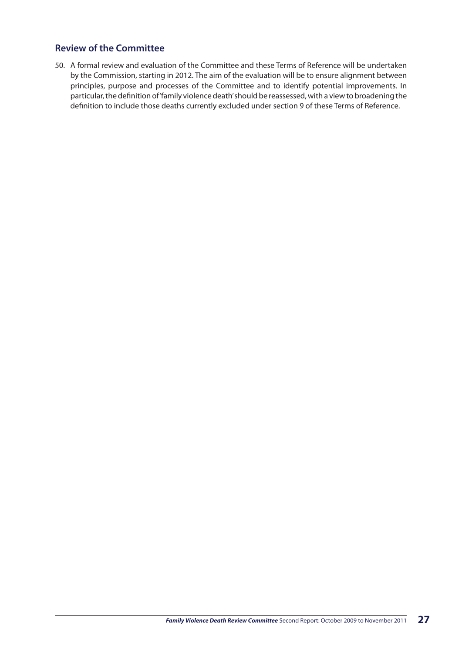#### **Review of the Committee**

50. A formal review and evaluation of the Committee and these Terms of Reference will be undertaken by the Commission, starting in 2012. The aim of the evaluation will be to ensure alignment between principles, purpose and processes of the Committee and to identify potential improvements. In particular, the definition of 'family violence death' should be reassessed, with a view to broadening the definition to include those deaths currently excluded under section 9 of these Terms of Reference.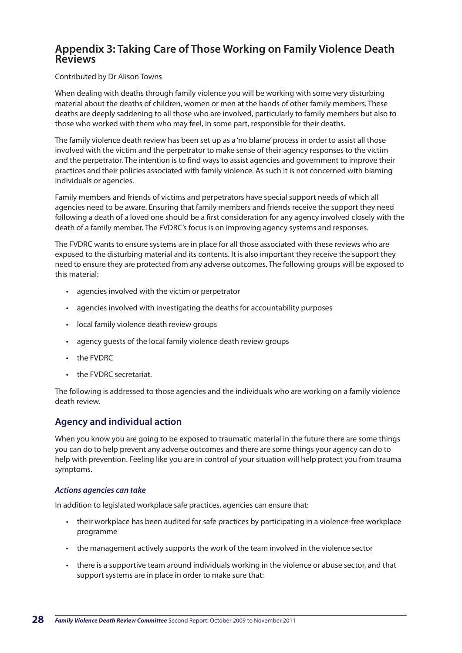#### **Appendix 3: Taking Care of Those Working on Family Violence Death Reviews**

#### Contributed by Dr Alison Towns

When dealing with deaths through family violence you will be working with some very disturbing material about the deaths of children, women or men at the hands of other family members. These deaths are deeply saddening to all those who are involved, particularly to family members but also to those who worked with them who may feel, in some part, responsible for their deaths.

The family violence death review has been set up as a 'no blame' process in order to assist all those involved with the victim and the perpetrator to make sense of their agency responses to the victim and the perpetrator. The intention is to find ways to assist agencies and government to improve their practices and their policies associated with family violence. As such it is not concerned with blaming individuals or agencies.

Family members and friends of victims and perpetrators have special support needs of which all agencies need to be aware. Ensuring that family members and friends receive the support they need following a death of a loved one should be a first consideration for any agency involved closely with the death of a family member. The FVDRC's focus is on improving agency systems and responses.

The FVDRC wants to ensure systems are in place for all those associated with these reviews who are exposed to the disturbing material and its contents. It is also important they receive the support they need to ensure they are protected from any adverse outcomes. The following groups will be exposed to this material:

- • agencies involved with the victim or perpetrator
- agencies involved with investigating the deaths for accountability purposes
- local family violence death review groups
- agency guests of the local family violence death review groups
- the FVDRC
- the FVDRC secretariat.

The following is addressed to those agencies and the individuals who are working on a family violence death review.

#### **Agency and individual action**

When you know you are going to be exposed to traumatic material in the future there are some things you can do to help prevent any adverse outcomes and there are some things your agency can do to help with prevention. Feeling like you are in control of your situation will help protect you from trauma symptoms.

#### *Actions agencies can take*

In addition to legislated workplace safe practices, agencies can ensure that:

- • their workplace has been audited for safe practices by participating in a violence-free workplace programme
- • the management actively supports the work of the team involved in the violence sector
- • there is a supportive team around individuals working in the violence or abuse sector, and that support systems are in place in order to make sure that: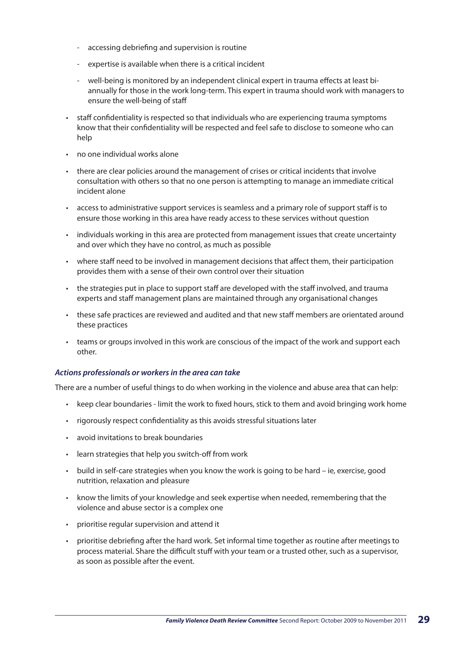- accessing debriefing and supervision is routine
- expertise is available when there is a critical incident
- well-being is monitored by an independent clinical expert in trauma effects at least biannually for those in the work long-term. This expert in trauma should work with managers to ensure the well-being of staff
- • staff confidentiality is respected so that individuals who are experiencing trauma symptoms know that their confidentiality will be respected and feel safe to disclose to someone who can help
- no one individual works alone
- there are clear policies around the management of crises or critical incidents that involve consultation with others so that no one person is attempting to manage an immediate critical incident alone
- • access to administrative support services is seamless and a primary role of support staff is to ensure those working in this area have ready access to these services without question
- • individuals working in this area are protected from management issues that create uncertainty and over which they have no control, as much as possible
- • where staff need to be involved in management decisions that affect them, their participation provides them with a sense of their own control over their situation
- • the strategies put in place to support staff are developed with the staff involved, and trauma experts and staff management plans are maintained through any organisational changes
- • these safe practices are reviewed and audited and that new staff members are orientated around these practices
- • teams or groups involved in this work are conscious of the impact of the work and support each other.

#### *Actions professionals or workers in the area can take*

There are a number of useful things to do when working in the violence and abuse area that can help:

- • keep clear boundaries limit the work to fixed hours, stick to them and avoid bringing work home
- • rigorously respect confidentiality as this avoids stressful situations later
- • avoid invitations to break boundaries
- • learn strategies that help you switch-off from work
- build in self-care strategies when you know the work is going to be hard ie, exercise, good nutrition, relaxation and pleasure
- • know the limits of your knowledge and seek expertise when needed, remembering that the violence and abuse sector is a complex one
- • prioritise regular supervision and attend it
- • prioritise debriefing after the hard work. Set informal time together as routine after meetings to process material. Share the difficult stuff with your team or a trusted other, such as a supervisor, as soon as possible after the event.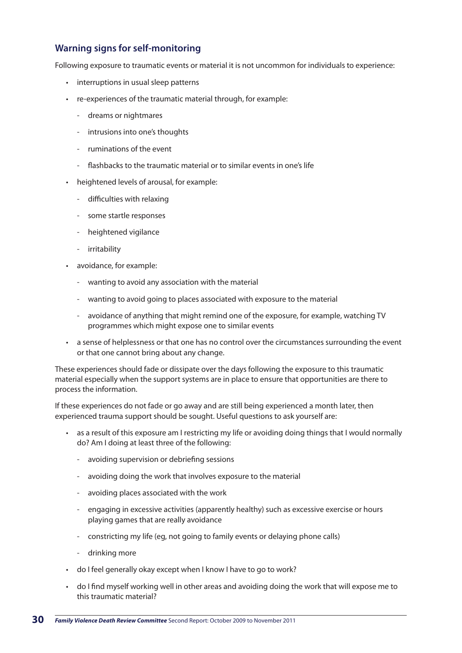#### **Warning signs for self-monitoring**

Following exposure to traumatic events or material it is not uncommon for individuals to experience:

- • interruptions in usual sleep patterns
- re-experiences of the traumatic material through, for example:
	- dreams or nightmares
	- intrusions into one's thoughts
	- ruminations of the event
	- flashbacks to the traumatic material or to similar events in one's life
- • heightened levels of arousal, for example:
	- difficulties with relaxing
	- some startle responses
	- heightened vigilance
	- irritability
- • avoidance, for example:
	- wanting to avoid any association with the material
	- wanting to avoid going to places associated with exposure to the material
	- avoidance of anything that might remind one of the exposure, for example, watching TV programmes which might expose one to similar events
- • a sense of helplessness or that one has no control over the circumstances surrounding the event or that one cannot bring about any change.

These experiences should fade or dissipate over the days following the exposure to this traumatic material especially when the support systems are in place to ensure that opportunities are there to process the information.

If these experiences do not fade or go away and are still being experienced a month later, then experienced trauma support should be sought. Useful questions to ask yourself are:

- • as a result of this exposure am I restricting my life or avoiding doing things that I would normally do? Am I doing at least three of the following:
	- avoiding supervision or debriefing sessions
	- avoiding doing the work that involves exposure to the material
	- avoiding places associated with the work
	- engaging in excessive activities (apparently healthy) such as excessive exercise or hours playing games that are really avoidance
	- constricting my life (eg, not going to family events or delaying phone calls)
	- drinking more
- • do I feel generally okay except when I know I have to go to work?
- • do I find myself working well in other areas and avoiding doing the work that will expose me to this traumatic material?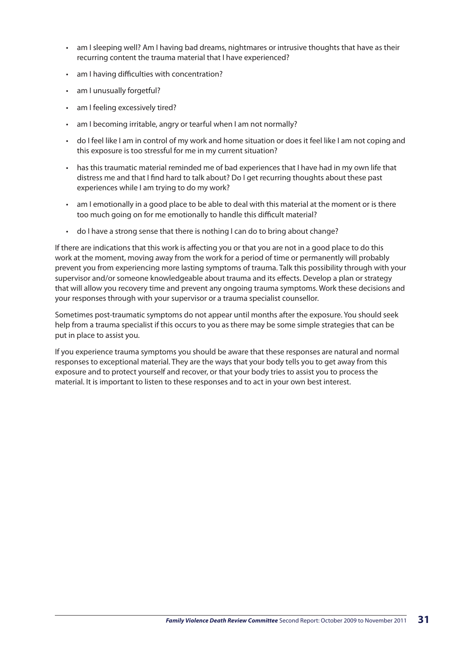- am I sleeping well? Am I having bad dreams, nightmares or intrusive thoughts that have as their recurring content the trauma material that I have experienced?
- • am I having difficulties with concentration?
- am I unusually forgetful?
- am I feeling excessively tired?
- am I becoming irritable, angry or tearful when I am not normally?
- • do I feel like I am in control of my work and home situation or does it feel like I am not coping and this exposure is too stressful for me in my current situation?
- • has this traumatic material reminded me of bad experiences that I have had in my own life that distress me and that I find hard to talk about? Do I get recurring thoughts about these past experiences while I am trying to do my work?
- • am I emotionally in a good place to be able to deal with this material at the moment or is there too much going on for me emotionally to handle this difficult material?
- do I have a strong sense that there is nothing I can do to bring about change?

If there are indications that this work is affecting you or that you are not in a good place to do this work at the moment, moving away from the work for a period of time or permanently will probably prevent you from experiencing more lasting symptoms of trauma. Talk this possibility through with your supervisor and/or someone knowledgeable about trauma and its effects. Develop a plan or strategy that will allow you recovery time and prevent any ongoing trauma symptoms. Work these decisions and your responses through with your supervisor or a trauma specialist counsellor.

Sometimes post-traumatic symptoms do not appear until months after the exposure. You should seek help from a trauma specialist if this occurs to you as there may be some simple strategies that can be put in place to assist you.

If you experience trauma symptoms you should be aware that these responses are natural and normal responses to exceptional material. They are the ways that your body tells you to get away from this exposure and to protect yourself and recover, or that your body tries to assist you to process the material. It is important to listen to these responses and to act in your own best interest.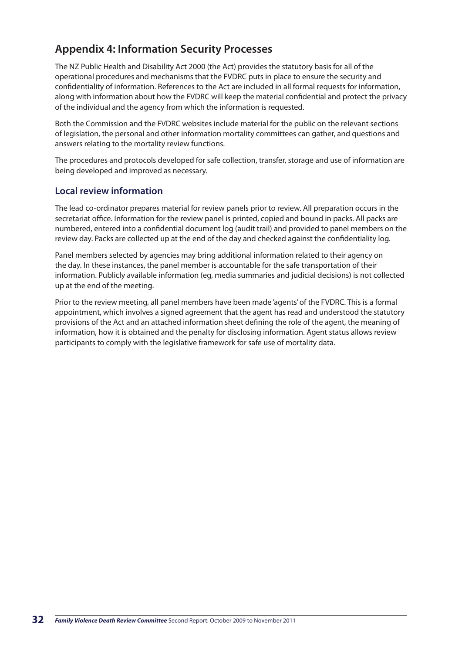## **Appendix 4: Information Security Processes**

The NZ Public Health and Disability Act 2000 (the Act) provides the statutory basis for all of the operational procedures and mechanisms that the FVDRC puts in place to ensure the security and confidentiality of information. References to the Act are included in all formal requests for information, along with information about how the FVDRC will keep the material confidential and protect the privacy of the individual and the agency from which the information is requested.

Both the Commission and the FVDRC websites include material for the public on the relevant sections of legislation, the personal and other information mortality committees can gather, and questions and answers relating to the mortality review functions.

The procedures and protocols developed for safe collection, transfer, storage and use of information are being developed and improved as necessary.

#### **Local review information**

The lead co-ordinator prepares material for review panels prior to review. All preparation occurs in the secretariat office. Information for the review panel is printed, copied and bound in packs. All packs are numbered, entered into a confidential document log (audit trail) and provided to panel members on the review day. Packs are collected up at the end of the day and checked against the confidentiality log.

Panel members selected by agencies may bring additional information related to their agency on the day. In these instances, the panel member is accountable for the safe transportation of their information. Publicly available information (eg, media summaries and judicial decisions) is not collected up at the end of the meeting.

Prior to the review meeting, all panel members have been made 'agents' of the FVDRC. This is a formal appointment, which involves a signed agreement that the agent has read and understood the statutory provisions of the Act and an attached information sheet defining the role of the agent, the meaning of information, how it is obtained and the penalty for disclosing information. Agent status allows review participants to comply with the legislative framework for safe use of mortality data.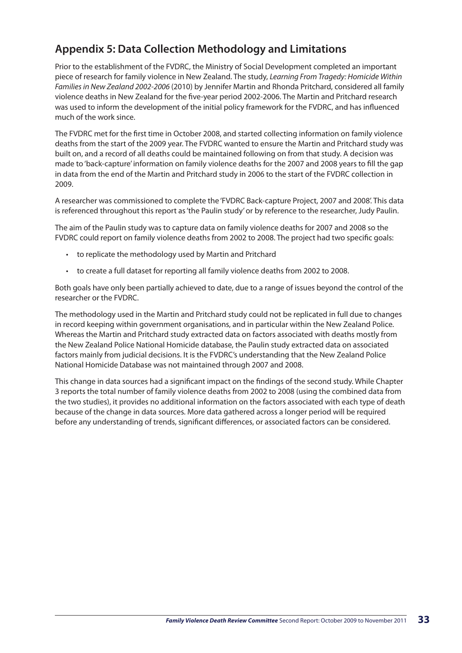## **Appendix 5: Data Collection Methodology and Limitations**

Prior to the establishment of the FVDRC, the Ministry of Social Development completed an important piece of research for family violence in New Zealand. The study, *Learning From Tragedy: Homicide Within Families in New Zealand 2002-2006* (2010) by Jennifer Martin and Rhonda Pritchard, considered all family violence deaths in New Zealand for the five-year period 2002-2006. The Martin and Pritchard research was used to inform the development of the initial policy framework for the FVDRC, and has influenced much of the work since.

The FVDRC met for the first time in October 2008, and started collecting information on family violence deaths from the start of the 2009 year. The FVDRC wanted to ensure the Martin and Pritchard study was built on, and a record of all deaths could be maintained following on from that study. A decision was made to 'back-capture' information on family violence deaths for the 2007 and 2008 years to fill the gap in data from the end of the Martin and Pritchard study in 2006 to the start of the FVDRC collection in 2009.

A researcher was commissioned to complete the 'FVDRC Back-capture Project, 2007 and 2008'. This data is referenced throughout this report as 'the Paulin study' or by reference to the researcher, Judy Paulin.

The aim of the Paulin study was to capture data on family violence deaths for 2007 and 2008 so the FVDRC could report on family violence deaths from 2002 to 2008. The project had two specific goals:

- • to replicate the methodology used by Martin and Pritchard
- • to create a full dataset for reporting all family violence deaths from 2002 to 2008.

Both goals have only been partially achieved to date, due to a range of issues beyond the control of the researcher or the FVDRC.

The methodology used in the Martin and Pritchard study could not be replicated in full due to changes in record keeping within government organisations, and in particular within the New Zealand Police. Whereas the Martin and Pritchard study extracted data on factors associated with deaths mostly from the New Zealand Police National Homicide database, the Paulin study extracted data on associated factors mainly from judicial decisions. It is the FVDRC's understanding that the New Zealand Police National Homicide Database was not maintained through 2007 and 2008.

This change in data sources had a significant impact on the findings of the second study. While Chapter 3 reports the total number of family violence deaths from 2002 to 2008 (using the combined data from the two studies), it provides no additional information on the factors associated with each type of death because of the change in data sources. More data gathered across a longer period will be required before any understanding of trends, significant differences, or associated factors can be considered.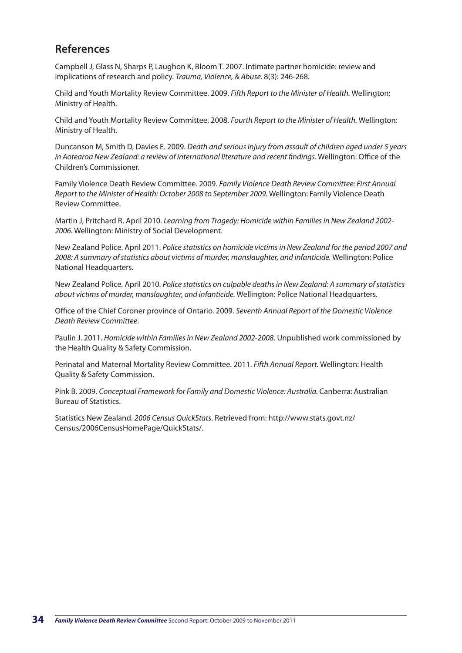## **References**

Campbell J, Glass N, Sharps P, Laughon K, Bloom T. 2007. Intimate partner homicide: review and implications of research and policy. *Trauma, Violence, & Abuse.* 8(3): 246-268.

Child and Youth Mortality Review Committee. 2009. *Fifth Report to the Minister of Health.* Wellington: Ministry of Health.

Child and Youth Mortality Review Committee. 2008. *Fourth Report to the Minister of Health.* Wellington: Ministry of Health.

Duncanson M, Smith D, Davies E. 2009. *Death and serious injury from assault of children aged under 5 years*  in Aotearoa New Zealand: a review of international literature and recent findings. Wellington: Office of the Children's Commissioner.

Family Violence Death Review Committee. 2009. *Family Violence Death Review Committee: First Annual Report to the Minister of Health: October 2008 to September 2009.* Wellington: Family Violence Death Review Committee.

Martin J, Pritchard R. April 2010. *Learning from Tragedy: Homicide within Families in New Zealand 2002- 2006.* Wellington: Ministry of Social Development.

New Zealand Police. April 2011. *Police statistics on homicide victims in New Zealand for the period 2007 and 2008: A summary of statistics about victims of murder, manslaughter, and infanticide.* Wellington: Police National Headquarters.

New Zealand Police. April 2010. *Police statistics on culpable deaths in New Zealand: A summary of statistics about victims of murder, manslaughter, and infanticide.* Wellington: Police National Headquarters.

Office of the Chief Coroner province of Ontario. 2009. *Seventh Annual Report of the Domestic Violence Death Review Committee*.

Paulin J. 2011. *Homicide within Families in New Zealand 2002-2008*. Unpublished work commissioned by the Health Quality & Safety Commission.

Perinatal and Maternal Mortality Review Committee. 2011. *Fifth Annual Report.* Wellington: Health Quality & Safety Commission.

Pink B. 2009. *Conceptual Framework for Family and Domestic Violence: Australia.* Canberra: Australian Bureau of Statistics.

Statistics New Zealand. *2006 Census QuickStats*. Retrieved from: http://www.stats.govt.nz/ Census/2006CensusHomePage/QuickStats/.